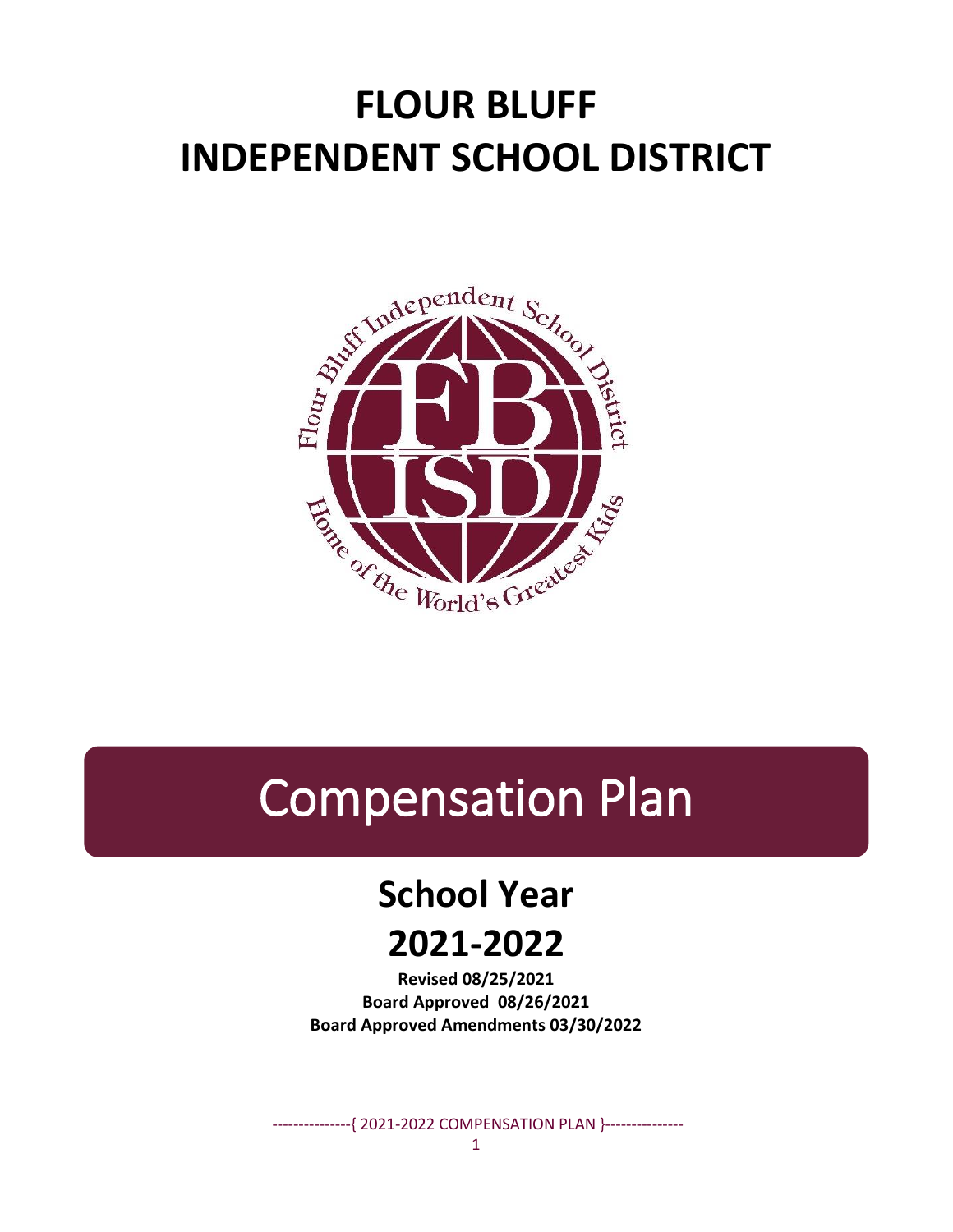# **FLOUR BLUFF INDEPENDENT SCHOOL DISTRICT**



# Compensation Plan

# **School Year 2021-2022**

**Revised 08/25/2021 Board Approved 08/26/2021 Board Approved Amendments 03/30/2022**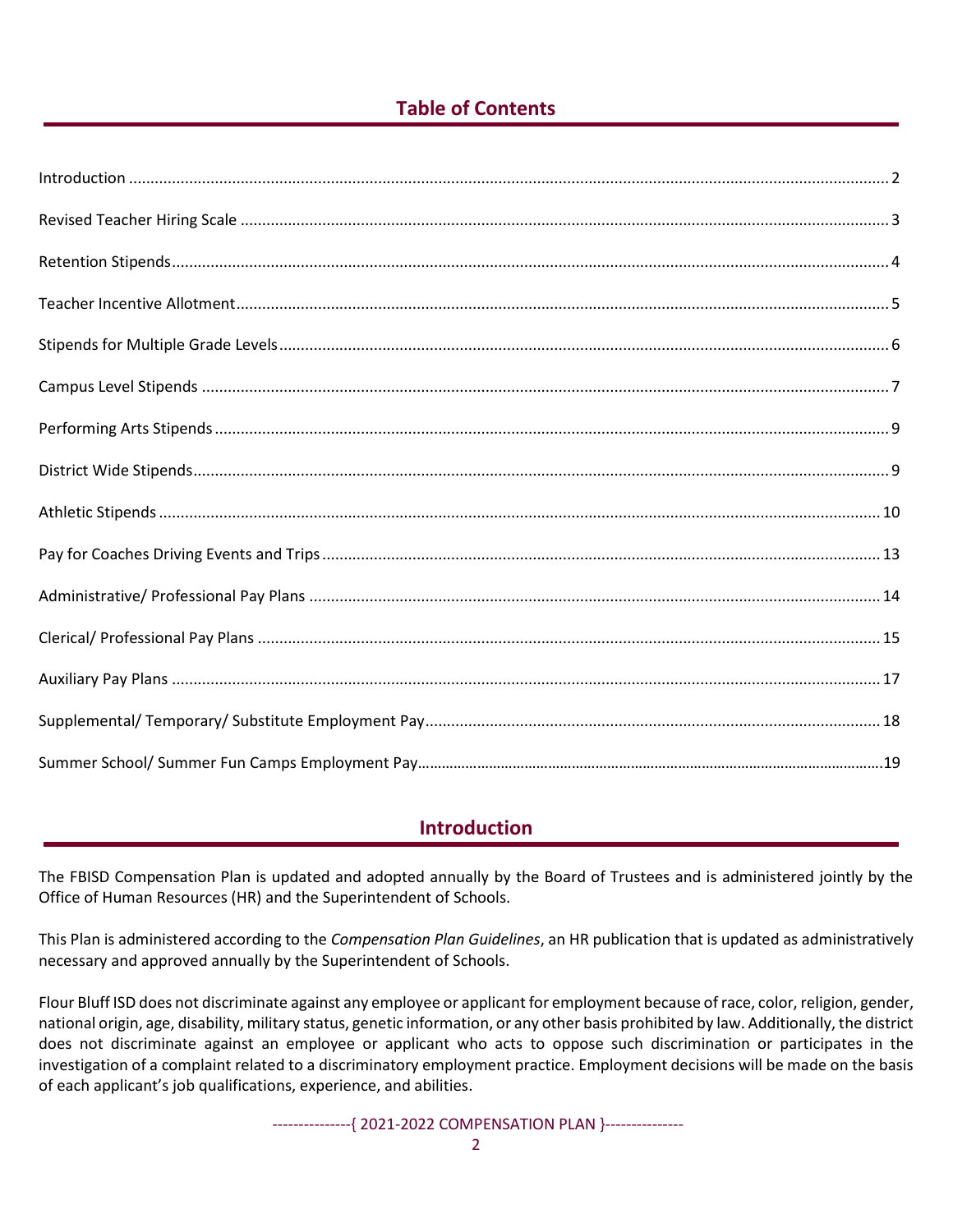#### **Table of Contents**

#### **Introduction**

The FBISD Compensation Plan is updated and adopted annually by the Board of Trustees and is administered jointly by the Office of Human Resources (HR) and the Superintendent of Schools.

This Plan is administered according to the *Compensation Plan Guidelines*, an HR publication that is updated as administratively necessary and approved annually by the Superintendent of Schools.

Flour Bluff ISD does not discriminate against any employee or applicant for employment because of race, color, religion, gender, national origin, age, disability, military status, genetic information, or any other basis prohibited by law. Additionally, the district does not discriminate against an employee or applicant who acts to oppose such discrimination or participates in the investigation of a complaint related to a discriminatory employment practice. Employment decisions will be made on the basis of each applicant's job qualifications, experience, and abilities.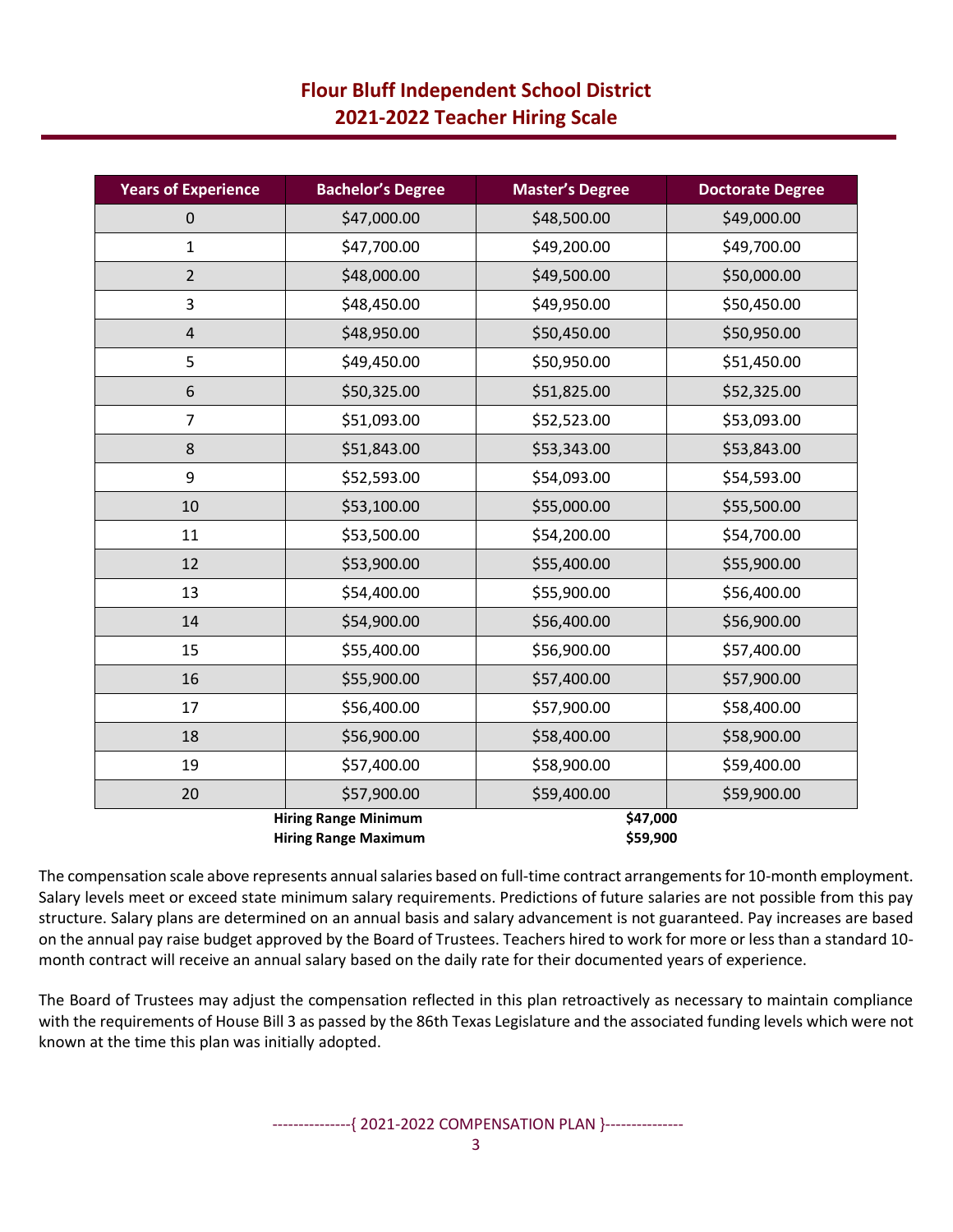| <b>Years of Experience</b>                                                         | <b>Bachelor's Degree</b> | <b>Master's Degree</b> | <b>Doctorate Degree</b> |  |
|------------------------------------------------------------------------------------|--------------------------|------------------------|-------------------------|--|
| $\mathbf 0$                                                                        | \$47,000.00              | \$48,500.00            | \$49,000.00             |  |
| $\mathbf{1}$                                                                       | \$47,700.00              | \$49,200.00            | \$49,700.00             |  |
| $\overline{2}$                                                                     | \$48,000.00              | \$49,500.00            | \$50,000.00             |  |
| 3                                                                                  | \$48,450.00              | \$49,950.00            | \$50,450.00             |  |
| $\overline{\mathbf{4}}$                                                            | \$48,950.00              | \$50,450.00            | \$50,950.00             |  |
| 5                                                                                  | \$49,450.00              | \$50,950.00            | \$51,450.00             |  |
| 6                                                                                  | \$50,325.00              | \$51,825.00            | \$52,325.00             |  |
| $\overline{7}$                                                                     | \$51,093.00              | \$52,523.00            | \$53,093.00             |  |
| 8                                                                                  | \$51,843.00              | \$53,343.00            | \$53,843.00             |  |
| 9                                                                                  | \$52,593.00              | \$54,093.00            | \$54,593.00             |  |
| 10                                                                                 | \$53,100.00              | \$55,000.00            | \$55,500.00             |  |
| 11                                                                                 | \$53,500.00              | \$54,200.00            | \$54,700.00             |  |
| 12                                                                                 | \$53,900.00              | \$55,400.00            | \$55,900.00             |  |
| 13                                                                                 | \$54,400.00              | \$55,900.00            | \$56,400.00             |  |
| 14                                                                                 | \$54,900.00              | \$56,400.00            | \$56,900.00             |  |
| 15                                                                                 | \$55,400.00              | \$56,900.00            | \$57,400.00             |  |
| 16                                                                                 | \$55,900.00              | \$57,400.00            | \$57,900.00             |  |
| 17                                                                                 | \$56,400.00              | \$57,900.00            | \$58,400.00             |  |
| 18                                                                                 | \$56,900.00              | \$58,400.00            | \$58,900.00             |  |
| 19                                                                                 | \$57,400.00              | \$58,900.00            | \$59,400.00             |  |
| 20                                                                                 | \$57,900.00              | \$59,400.00            | \$59,900.00             |  |
| <b>Hiring Range Minimum</b><br>\$47,000<br>\$59,900<br><b>Hiring Range Maximum</b> |                          |                        |                         |  |

The compensation scale above represents annual salaries based on full-time contract arrangements for 10-month employment. Salary levels meet or exceed state minimum salary requirements. Predictions of future salaries are not possible from this pay structure. Salary plans are determined on an annual basis and salary advancement is not guaranteed. Pay increases are based on the annual pay raise budget approved by the Board of Trustees. Teachers hired to work for more or less than a standard 10 month contract will receive an annual salary based on the daily rate for their documented years of experience.

The Board of Trustees may adjust the compensation reflected in this plan retroactively as necessary to maintain compliance with the requirements of House Bill 3 as passed by the 86th Texas Legislature and the associated funding levels which were not known at the time this plan was initially adopted.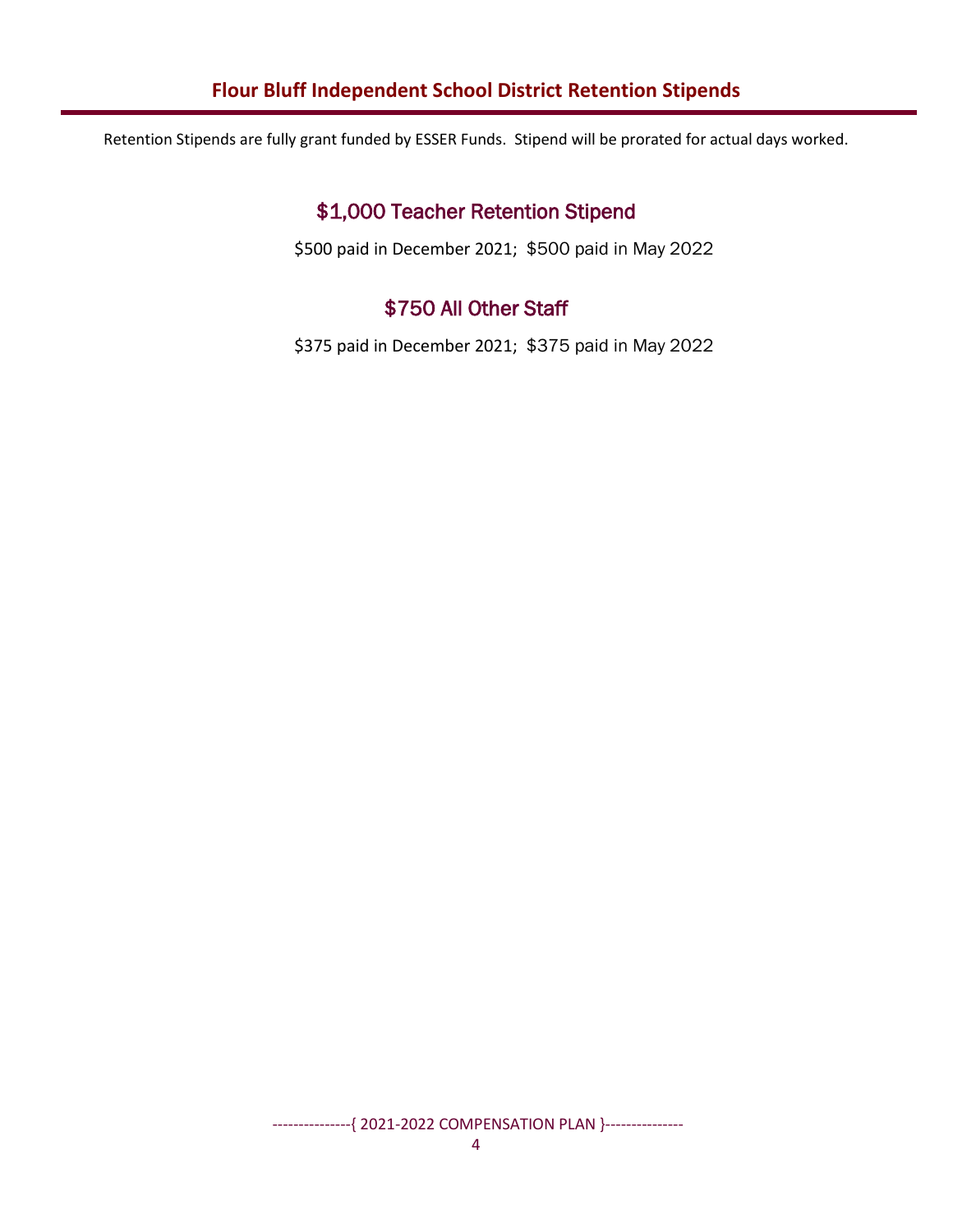#### **Flour Bluff Independent School District Retention Stipends**

Retention Stipends are fully grant funded by ESSER Funds. Stipend will be prorated for actual days worked.

## \$1,000 Teacher Retention Stipend

\$500 paid in December 2021; \$500 paid in May 2022

#### \$750 All Other Staff

\$375 paid in December 2021; \$375 paid in May 2022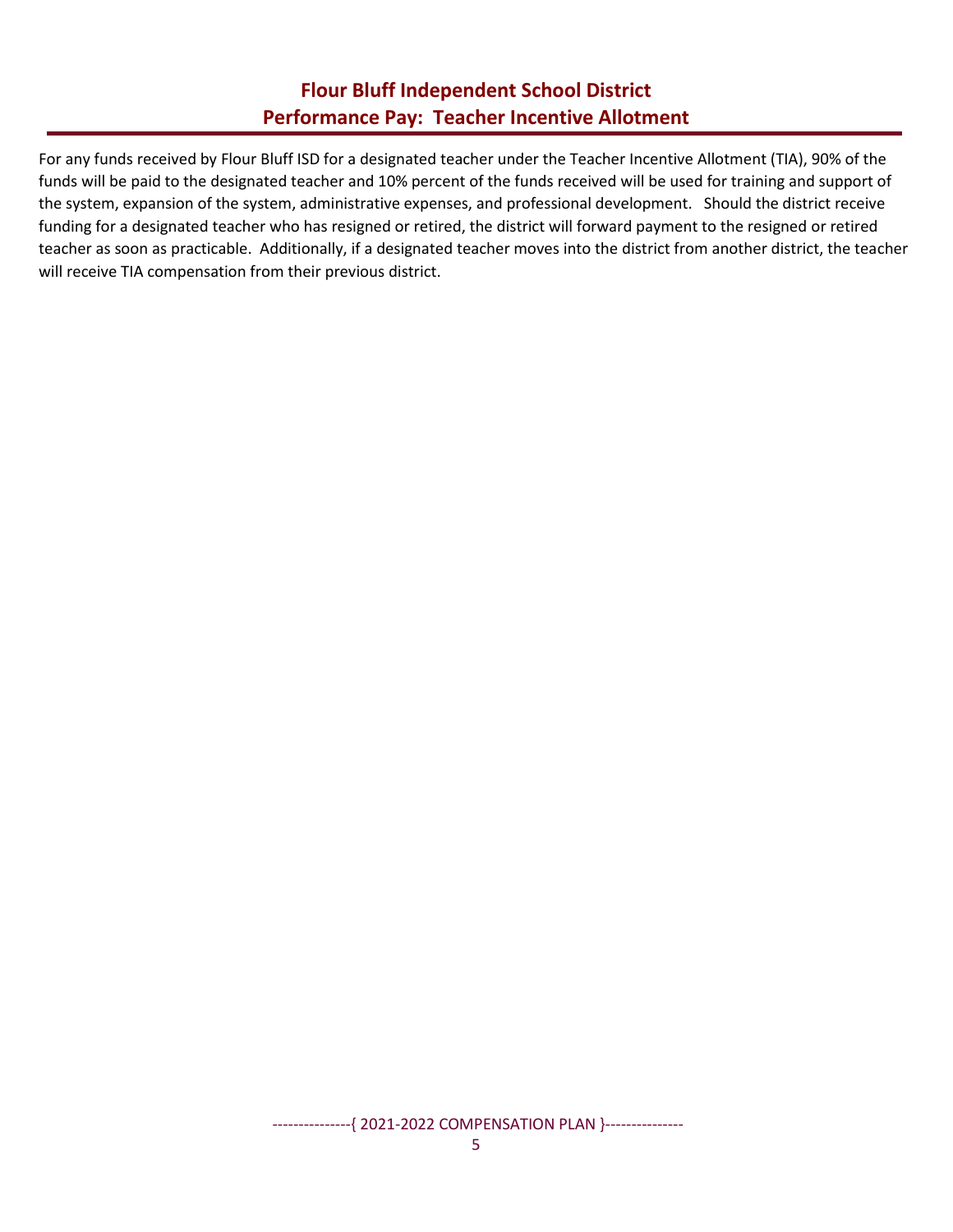#### **Flour Bluff Independent School District Performance Pay: Teacher Incentive Allotment**

For any funds received by Flour Bluff ISD for a designated teacher under the Teacher Incentive Allotment (TIA), 90% of the funds will be paid to the designated teacher and 10% percent of the funds received will be used for training and support of the system, expansion of the system, administrative expenses, and professional development. Should the district receive funding for a designated teacher who has resigned or retired, the district will forward payment to the resigned or retired teacher as soon as practicable. Additionally, if a designated teacher moves into the district from another district, the teacher will receive TIA compensation from their previous district.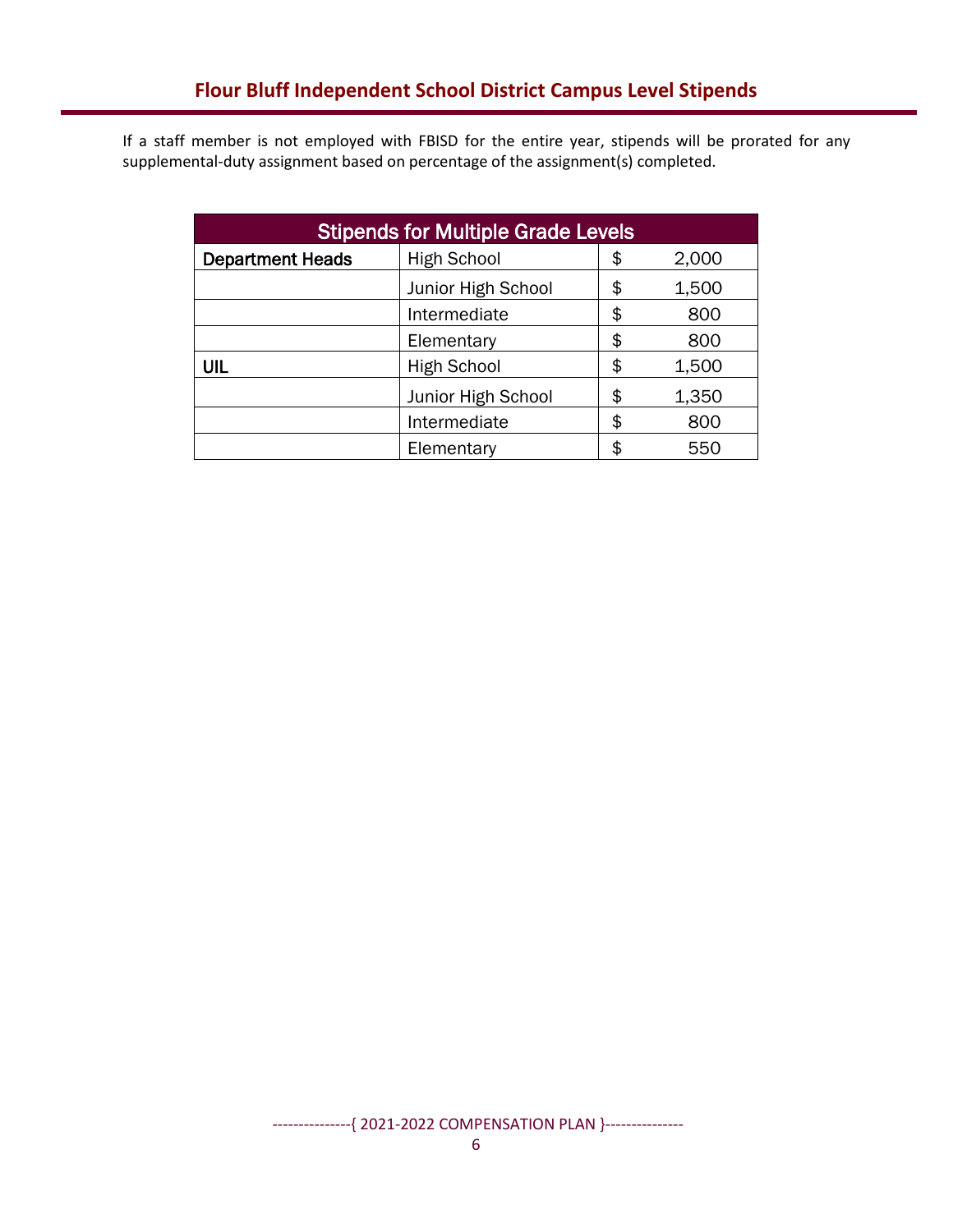If a staff member is not employed with FBISD for the entire year, stipends will be prorated for any supplemental-duty assignment based on percentage of the assignment(s) completed.

| <b>Stipends for Multiple Grade Levels</b> |                                   |    |       |  |  |
|-------------------------------------------|-----------------------------------|----|-------|--|--|
| <b>Department Heads</b>                   | <b>High School</b><br>2,000<br>\$ |    |       |  |  |
|                                           | Junior High School                | \$ | 1,500 |  |  |
|                                           | \$<br>Intermediate<br>800         |    |       |  |  |
| Elementary                                |                                   | \$ | 800   |  |  |
| UIL                                       | <b>High School</b>                | \$ | 1,500 |  |  |
|                                           | Junior High School                | \$ | 1,350 |  |  |
| Intermediate                              |                                   | \$ | 800   |  |  |
|                                           | Elementary                        | \$ | 55C   |  |  |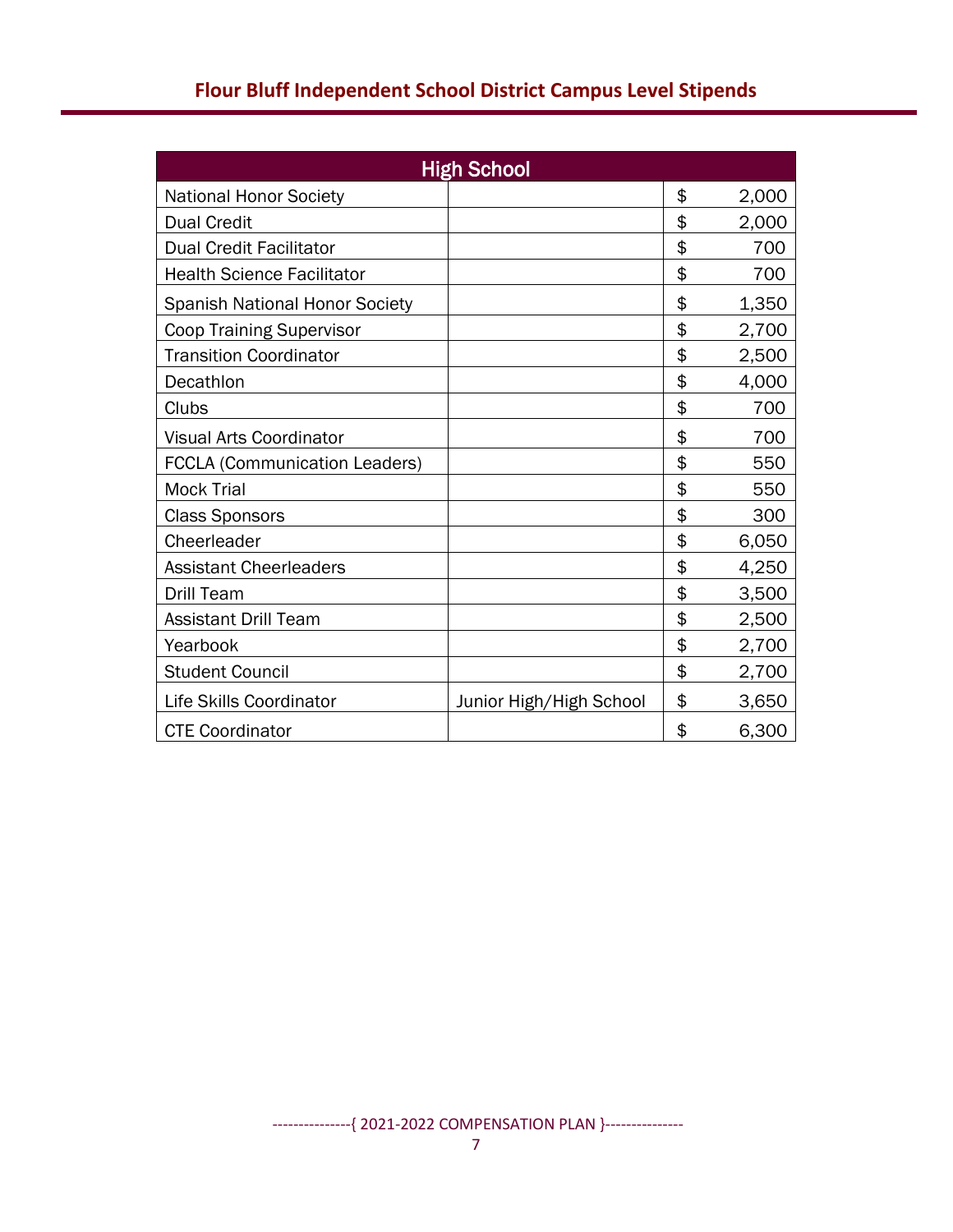| <b>High School</b>                    |                         |    |       |  |  |
|---------------------------------------|-------------------------|----|-------|--|--|
| <b>National Honor Society</b>         |                         | \$ | 2,000 |  |  |
| <b>Dual Credit</b>                    |                         | \$ | 2,000 |  |  |
| <b>Dual Credit Facilitator</b>        |                         | \$ | 700   |  |  |
| <b>Health Science Facilitator</b>     |                         | \$ | 700   |  |  |
| <b>Spanish National Honor Society</b> |                         | \$ | 1,350 |  |  |
| <b>Coop Training Supervisor</b>       |                         | \$ | 2,700 |  |  |
| <b>Transition Coordinator</b>         |                         | \$ | 2,500 |  |  |
| Decathlon                             |                         | \$ | 4,000 |  |  |
| Clubs                                 |                         | \$ | 700   |  |  |
| <b>Visual Arts Coordinator</b>        |                         | \$ | 700   |  |  |
| <b>FCCLA (Communication Leaders)</b>  |                         | \$ | 550   |  |  |
| <b>Mock Trial</b>                     |                         | \$ | 550   |  |  |
| <b>Class Sponsors</b>                 |                         | \$ | 300   |  |  |
| Cheerleader                           |                         | \$ | 6,050 |  |  |
| <b>Assistant Cheerleaders</b>         |                         | \$ | 4,250 |  |  |
| <b>Drill Team</b>                     |                         | \$ | 3,500 |  |  |
| <b>Assistant Drill Team</b>           |                         | \$ | 2,500 |  |  |
| Yearbook                              |                         | \$ | 2,700 |  |  |
| <b>Student Council</b>                |                         | \$ | 2,700 |  |  |
| Life Skills Coordinator               | Junior High/High School | \$ | 3,650 |  |  |
| <b>CTE Coordinator</b>                |                         | \$ | 6,300 |  |  |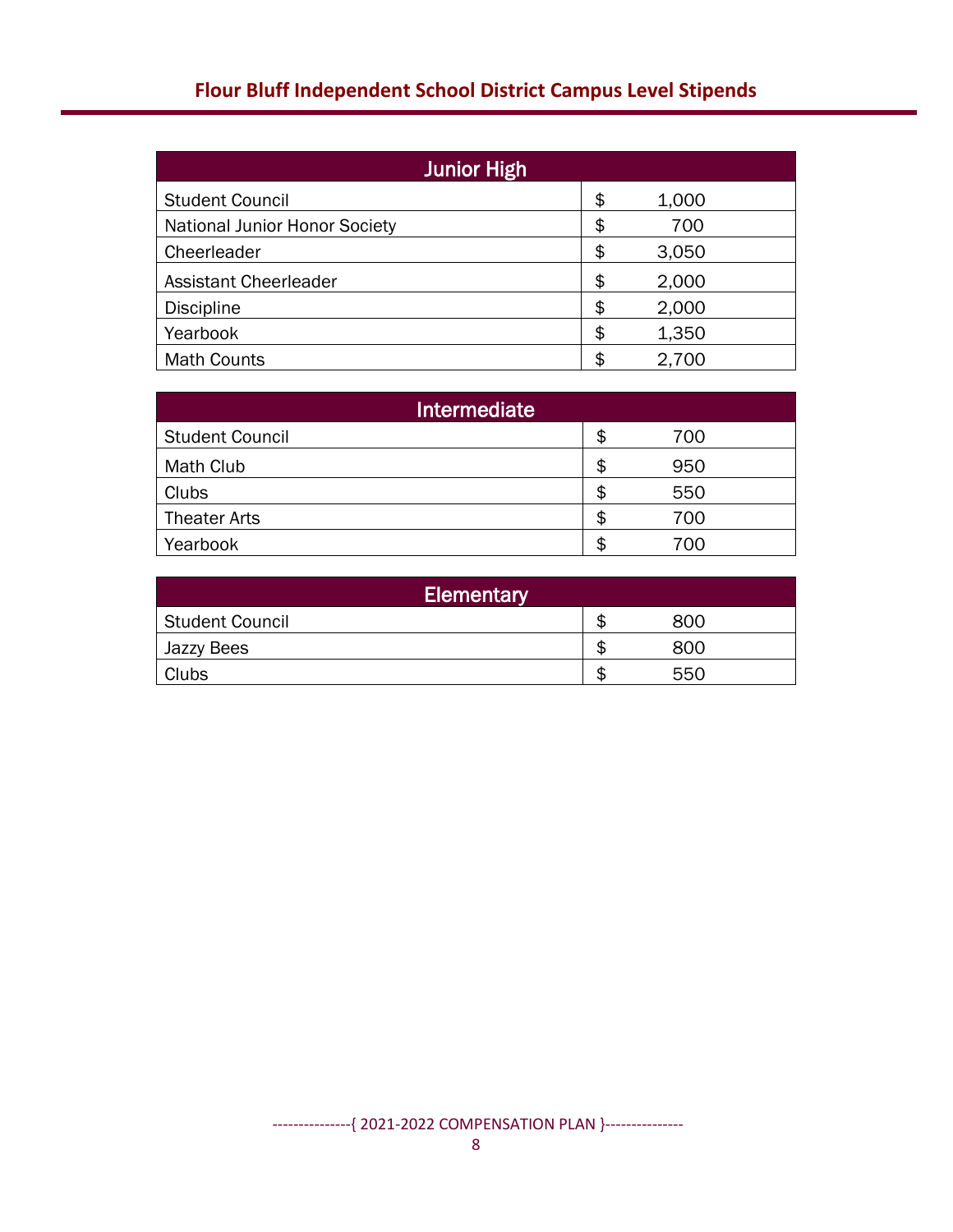| <b>Junior High</b>                   |    |       |  |  |  |
|--------------------------------------|----|-------|--|--|--|
| <b>Student Council</b>               | \$ | 1,000 |  |  |  |
| <b>National Junior Honor Society</b> | \$ | 700   |  |  |  |
| Cheerleader                          | \$ | 3,050 |  |  |  |
| <b>Assistant Cheerleader</b>         | \$ | 2,000 |  |  |  |
| <b>Discipline</b>                    | \$ | 2,000 |  |  |  |
| Yearbook                             | \$ | 1,350 |  |  |  |
| <b>Math Counts</b>                   | \$ | 2,700 |  |  |  |

| Intermediate           |    |     |  |  |  |
|------------------------|----|-----|--|--|--|
| <b>Student Council</b> | S  | 700 |  |  |  |
| Math Club              | \$ | 950 |  |  |  |
| Clubs                  | £  | 550 |  |  |  |
| <b>Theater Arts</b>    | £  | 700 |  |  |  |
| Yearbook               | S  | 700 |  |  |  |

| Elementary      |  |     |  |  |  |
|-----------------|--|-----|--|--|--|
| Student Council |  | 800 |  |  |  |
| Jazzy Bees      |  | 800 |  |  |  |
| Clubs           |  | 550 |  |  |  |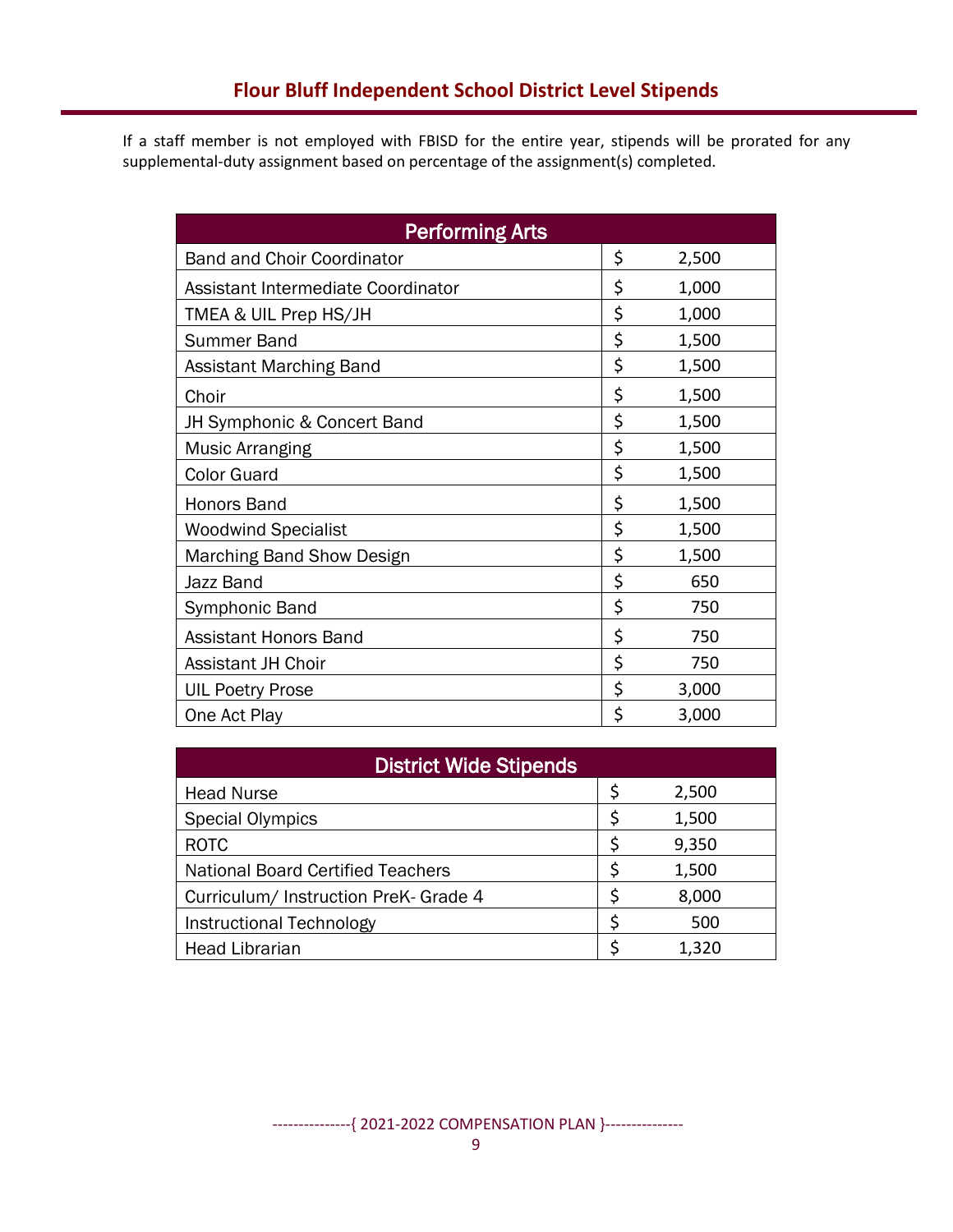If a staff member is not employed with FBISD for the entire year, stipends will be prorated for any supplemental-duty assignment based on percentage of the assignment(s) completed.

| <b>Performing Arts</b>             |    |       |  |  |  |  |
|------------------------------------|----|-------|--|--|--|--|
| <b>Band and Choir Coordinator</b>  | \$ | 2,500 |  |  |  |  |
| Assistant Intermediate Coordinator | \$ | 1,000 |  |  |  |  |
| TMEA & UIL Prep HS/JH              | \$ | 1,000 |  |  |  |  |
| <b>Summer Band</b>                 | \$ | 1,500 |  |  |  |  |
| Assistant Marching Band            | \$ | 1,500 |  |  |  |  |
| Choir                              | \$ | 1,500 |  |  |  |  |
| JH Symphonic & Concert Band        | \$ | 1,500 |  |  |  |  |
| <b>Music Arranging</b>             | \$ | 1,500 |  |  |  |  |
| <b>Color Guard</b>                 | \$ | 1,500 |  |  |  |  |
| Honors Band                        | \$ | 1,500 |  |  |  |  |
| <b>Woodwind Specialist</b>         | \$ | 1,500 |  |  |  |  |
| <b>Marching Band Show Design</b>   | \$ | 1,500 |  |  |  |  |
| Jazz Band                          | \$ | 650   |  |  |  |  |
| Symphonic Band                     | \$ | 750   |  |  |  |  |
| <b>Assistant Honors Band</b>       | \$ | 750   |  |  |  |  |
| <b>Assistant JH Choir</b>          | \$ | 750   |  |  |  |  |
| <b>UIL Poetry Prose</b>            | \$ | 3,000 |  |  |  |  |
| One Act Play                       | \$ | 3,000 |  |  |  |  |

| <b>District Wide Stipends</b>            |    |       |  |  |  |
|------------------------------------------|----|-------|--|--|--|
| <b>Head Nurse</b>                        | Ş  | 2,500 |  |  |  |
| <b>Special Olympics</b>                  | \$ | 1,500 |  |  |  |
| <b>ROTC</b>                              | \$ | 9,350 |  |  |  |
| <b>National Board Certified Teachers</b> | \$ | 1,500 |  |  |  |
| Curriculum/ Instruction PreK- Grade 4    | Ś  | 8,000 |  |  |  |
| <b>Instructional Technology</b>          | \$ | 500   |  |  |  |
| <b>Head Librarian</b>                    |    | 1,320 |  |  |  |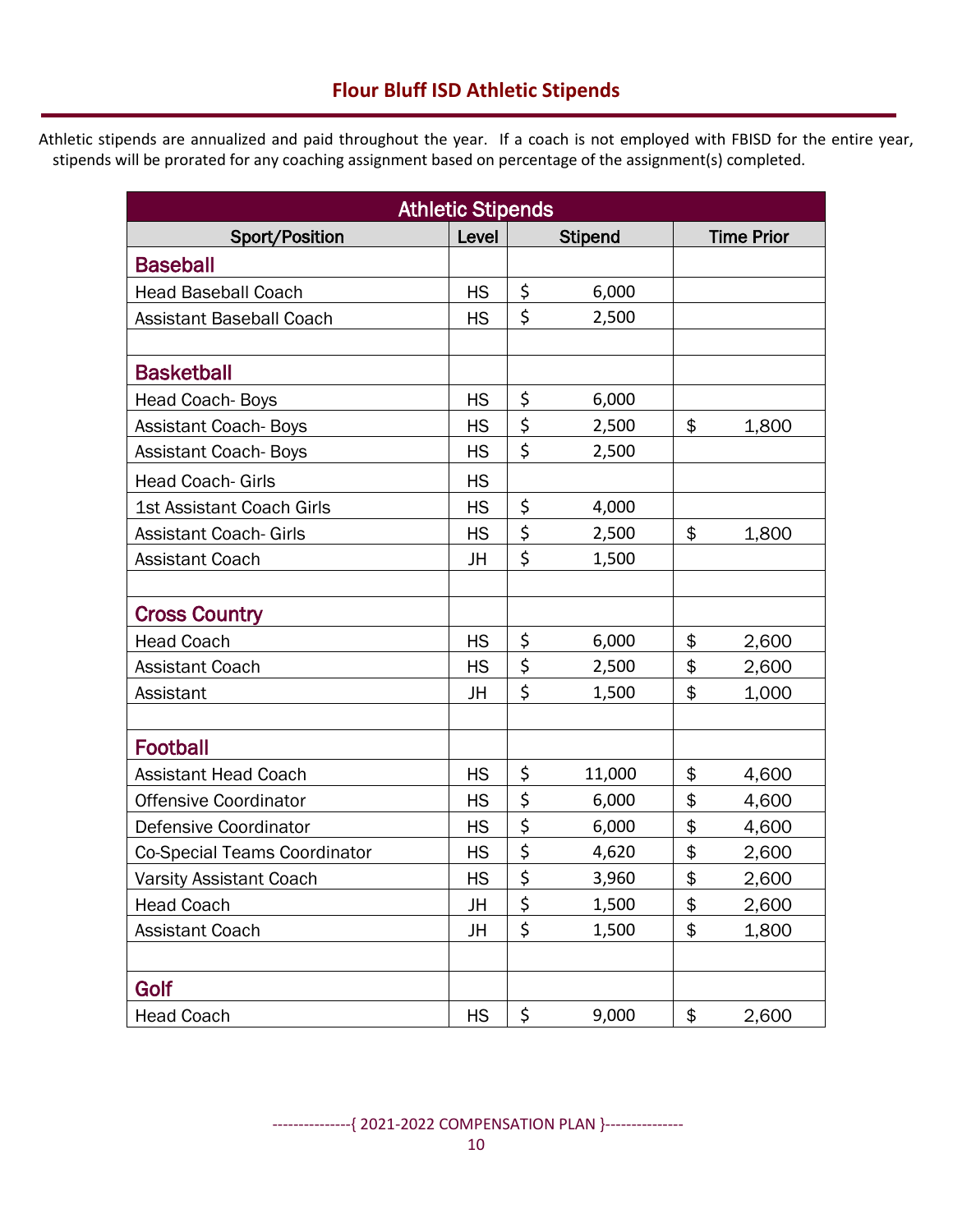# **Flour Bluff ISD Athletic Stipends**

Athletic stipends are annualized and paid throughout the year. If a coach is not employed with FBISD for the entire year, stipends will be prorated for any coaching assignment based on percentage of the assignment(s) completed.

| <b>Athletic Stipends</b>         |           |    |                |    |                   |  |
|----------------------------------|-----------|----|----------------|----|-------------------|--|
| Sport/Position                   | Level     |    | <b>Stipend</b> |    | <b>Time Prior</b> |  |
| <b>Baseball</b>                  |           |    |                |    |                   |  |
| <b>Head Baseball Coach</b>       | <b>HS</b> | \$ | 6,000          |    |                   |  |
| <b>Assistant Baseball Coach</b>  | <b>HS</b> | \$ | 2,500          |    |                   |  |
|                                  |           |    |                |    |                   |  |
| <b>Basketball</b>                |           |    |                |    |                   |  |
| Head Coach-Boys                  | <b>HS</b> | \$ | 6,000          |    |                   |  |
| <b>Assistant Coach-Boys</b>      | <b>HS</b> | \$ | 2,500          | \$ | 1,800             |  |
| <b>Assistant Coach-Boys</b>      | HS        | \$ | 2,500          |    |                   |  |
| <b>Head Coach-Girls</b>          | <b>HS</b> |    |                |    |                   |  |
| <b>1st Assistant Coach Girls</b> | <b>HS</b> | \$ | 4,000          |    |                   |  |
| <b>Assistant Coach- Girls</b>    | <b>HS</b> | \$ | 2,500          | \$ | 1,800             |  |
| <b>Assistant Coach</b>           | JH        | \$ | 1,500          |    |                   |  |
|                                  |           |    |                |    |                   |  |
| <b>Cross Country</b>             |           |    |                |    |                   |  |
| <b>Head Coach</b>                | <b>HS</b> | \$ | 6,000          | \$ | 2,600             |  |
| <b>Assistant Coach</b>           | HS        | \$ | 2,500          | \$ | 2,600             |  |
| Assistant                        | JH        | \$ | 1,500          | \$ | 1,000             |  |
|                                  |           |    |                |    |                   |  |
| <b>Football</b>                  |           |    |                |    |                   |  |
| <b>Assistant Head Coach</b>      | <b>HS</b> | \$ | 11,000         | \$ | 4,600             |  |
| <b>Offensive Coordinator</b>     | HS        | \$ | 6,000          | \$ | 4,600             |  |
| Defensive Coordinator            | <b>HS</b> | \$ | 6,000          | \$ | 4,600             |  |
| Co-Special Teams Coordinator     | HS        | \$ | 4,620          | \$ | 2,600             |  |
| <b>Varsity Assistant Coach</b>   | <b>HS</b> | \$ | 3,960          | \$ | 2,600             |  |
| <b>Head Coach</b>                | JH        | \$ | 1,500          | \$ | 2,600             |  |
| Assistant Coach                  | JH        | \$ | 1,500          | \$ | 1,800             |  |
|                                  |           |    |                |    |                   |  |
| Golf                             |           |    |                |    |                   |  |
| <b>Head Coach</b>                | <b>HS</b> | \$ | 9,000          | \$ | 2,600             |  |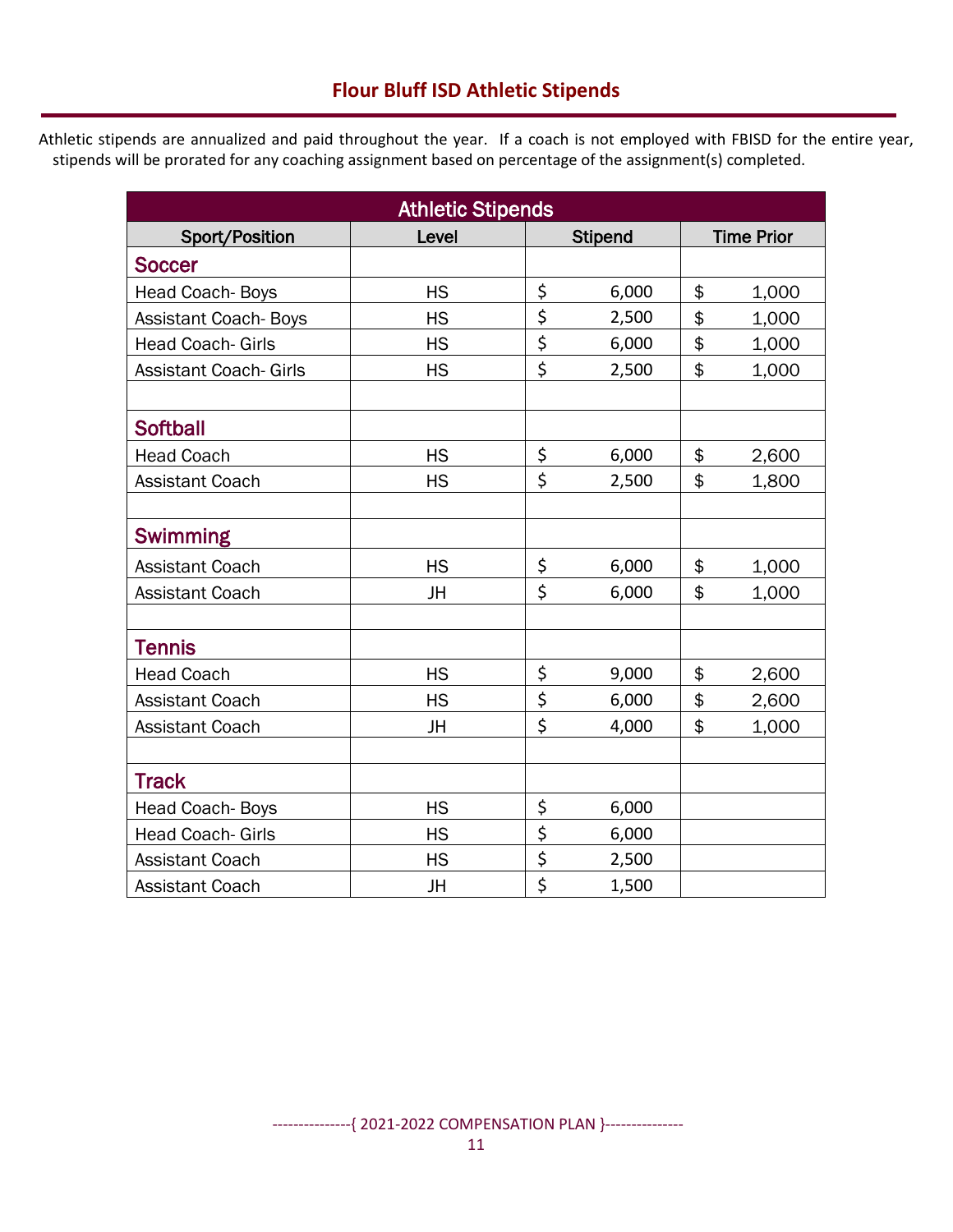Athletic stipends are annualized and paid throughout the year. If a coach is not employed with FBISD for the entire year, stipends will be prorated for any coaching assignment based on percentage of the assignment(s) completed.

| <b>Athletic Stipends</b>      |           |                               |                |    |                   |
|-------------------------------|-----------|-------------------------------|----------------|----|-------------------|
| Sport/Position                | Level     |                               | <b>Stipend</b> |    | <b>Time Prior</b> |
| <b>Soccer</b>                 |           |                               |                |    |                   |
| Head Coach-Boys               | <b>HS</b> | \$                            | 6,000          | \$ | 1,000             |
| <b>Assistant Coach-Boys</b>   | <b>HS</b> | \$                            | 2,500          | \$ | 1,000             |
| <b>Head Coach- Girls</b>      | <b>HS</b> | \$                            | 6,000          | \$ | 1,000             |
| <b>Assistant Coach- Girls</b> | <b>HS</b> | \$                            | 2,500          | \$ | 1,000             |
|                               |           |                               |                |    |                   |
| <b>Softball</b>               |           |                               |                |    |                   |
| <b>Head Coach</b>             | <b>HS</b> | \$                            | 6,000          | \$ | 2,600             |
| <b>Assistant Coach</b>        | <b>HS</b> | \$                            | 2,500          | \$ | 1,800             |
|                               |           |                               |                |    |                   |
| <b>Swimming</b>               |           |                               |                |    |                   |
| <b>Assistant Coach</b>        | <b>HS</b> | \$                            | 6,000          | \$ | 1,000             |
| <b>Assistant Coach</b>        | JH        | \$                            | 6,000          | \$ | 1,000             |
|                               |           |                               |                |    |                   |
| <b>Tennis</b>                 |           |                               |                |    |                   |
| <b>Head Coach</b>             | <b>HS</b> | \$                            | 9,000          | \$ | 2,600             |
| <b>Assistant Coach</b>        | <b>HS</b> | \$                            | 6,000          | \$ | 2,600             |
| <b>Assistant Coach</b>        | JH        | \$                            | 4,000          | \$ | 1,000             |
|                               |           |                               |                |    |                   |
| <b>Track</b>                  |           |                               |                |    |                   |
| Head Coach-Boys               | <b>HS</b> | \$                            | 6,000          |    |                   |
| <b>Head Coach- Girls</b>      | <b>HS</b> | \$                            | 6,000          |    |                   |
| <b>Assistant Coach</b>        | <b>HS</b> | \$                            | 2,500          |    |                   |
| <b>Assistant Coach</b>        | JH        | $\overline{\boldsymbol{\xi}}$ | 1,500          |    |                   |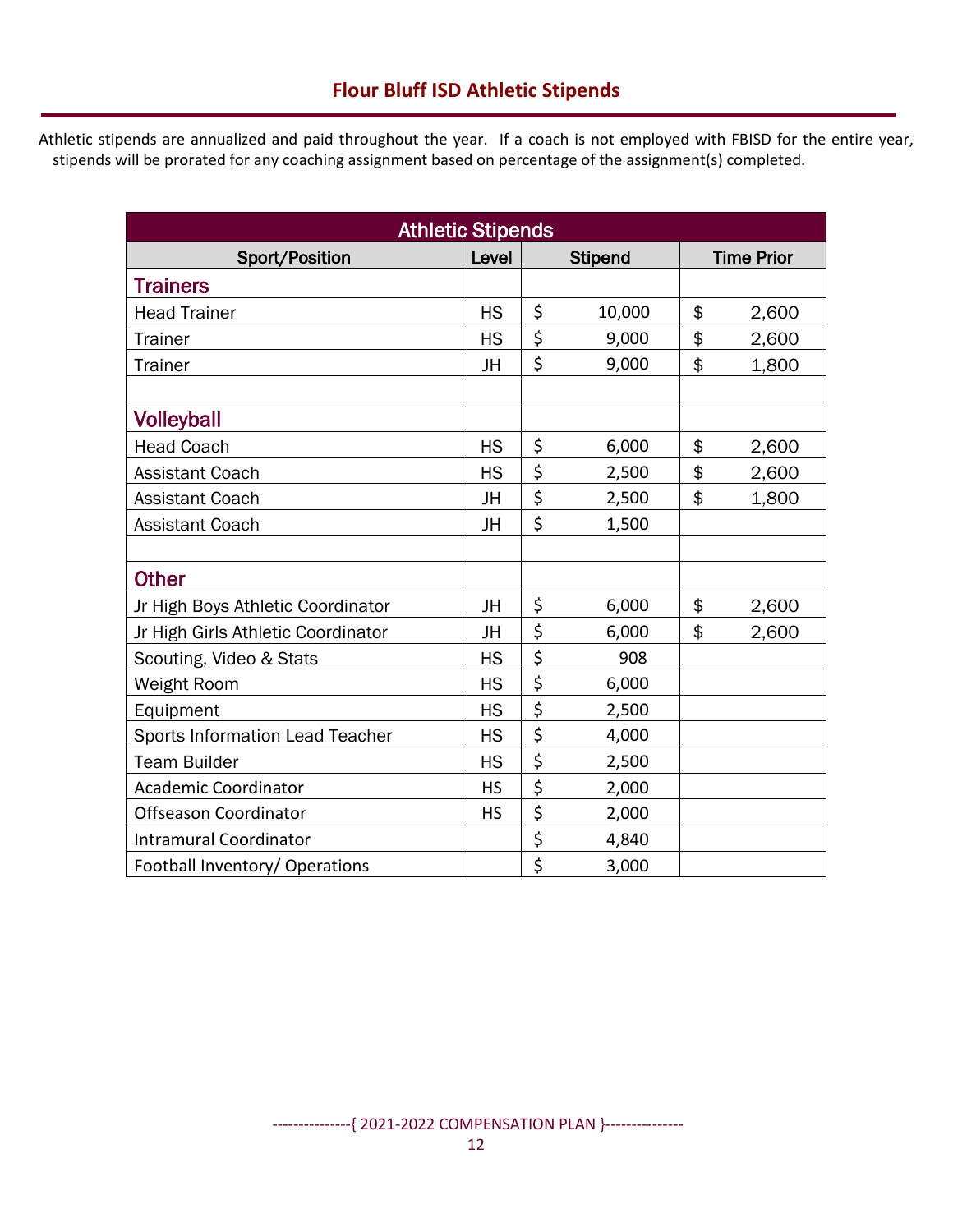Athletic stipends are annualized and paid throughout the year. If a coach is not employed with FBISD for the entire year, stipends will be prorated for any coaching assignment based on percentage of the assignment(s) completed.

| <b>Athletic Stipends</b>           |           |                |        |    |                   |  |
|------------------------------------|-----------|----------------|--------|----|-------------------|--|
| Sport/Position                     | Level     | <b>Stipend</b> |        |    | <b>Time Prior</b> |  |
| <b>Trainers</b>                    |           |                |        |    |                   |  |
| <b>Head Trainer</b>                | <b>HS</b> | \$             | 10,000 | \$ | 2,600             |  |
| <b>Trainer</b>                     | <b>HS</b> | \$             | 9,000  | \$ | 2,600             |  |
| <b>Trainer</b>                     | JH        | \$             | 9,000  | \$ | 1,800             |  |
|                                    |           |                |        |    |                   |  |
| <b>Volleyball</b>                  |           |                |        |    |                   |  |
| <b>Head Coach</b>                  | <b>HS</b> | \$             | 6,000  | \$ | 2,600             |  |
| <b>Assistant Coach</b>             | <b>HS</b> | \$             | 2,500  | \$ | 2,600             |  |
| <b>Assistant Coach</b>             | JH        | \$             | 2,500  | \$ | 1,800             |  |
| <b>Assistant Coach</b>             | JH        | \$             | 1,500  |    |                   |  |
|                                    |           |                |        |    |                   |  |
| <b>Other</b>                       |           |                |        |    |                   |  |
| Jr High Boys Athletic Coordinator  | JH        | \$             | 6,000  | \$ | 2,600             |  |
| Jr High Girls Athletic Coordinator | JH        | \$             | 6,000  | \$ | 2,600             |  |
| Scouting, Video & Stats            | <b>HS</b> | \$             | 908    |    |                   |  |
| Weight Room                        | <b>HS</b> | \$             | 6,000  |    |                   |  |
| Equipment                          | <b>HS</b> | \$             | 2,500  |    |                   |  |
| Sports Information Lead Teacher    | <b>HS</b> | \$             | 4,000  |    |                   |  |
| <b>Team Builder</b>                | <b>HS</b> | \$             | 2,500  |    |                   |  |
| <b>Academic Coordinator</b>        | <b>HS</b> | \$             | 2,000  |    |                   |  |
| Offseason Coordinator              | <b>HS</b> | \$             | 2,000  |    |                   |  |
| <b>Intramural Coordinator</b>      |           | \$             | 4,840  |    |                   |  |
| Football Inventory/ Operations     |           | \$             | 3,000  |    |                   |  |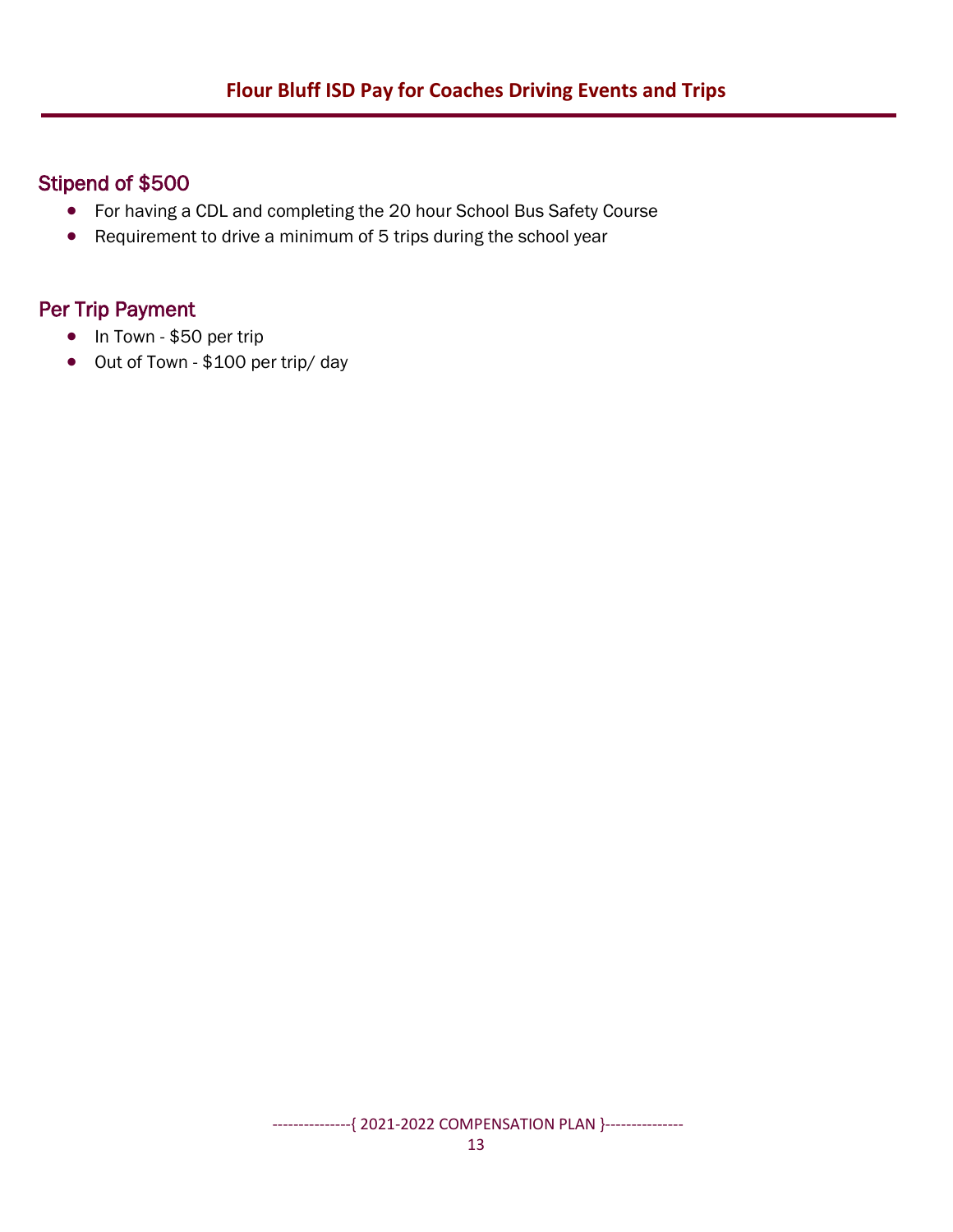## Stipend of \$500

- For having a CDL and completing the 20 hour School Bus Safety Course
- Requirement to drive a minimum of 5 trips during the school year

### Per Trip Payment

- In Town \$50 per trip
- Out of Town \$100 per trip/ day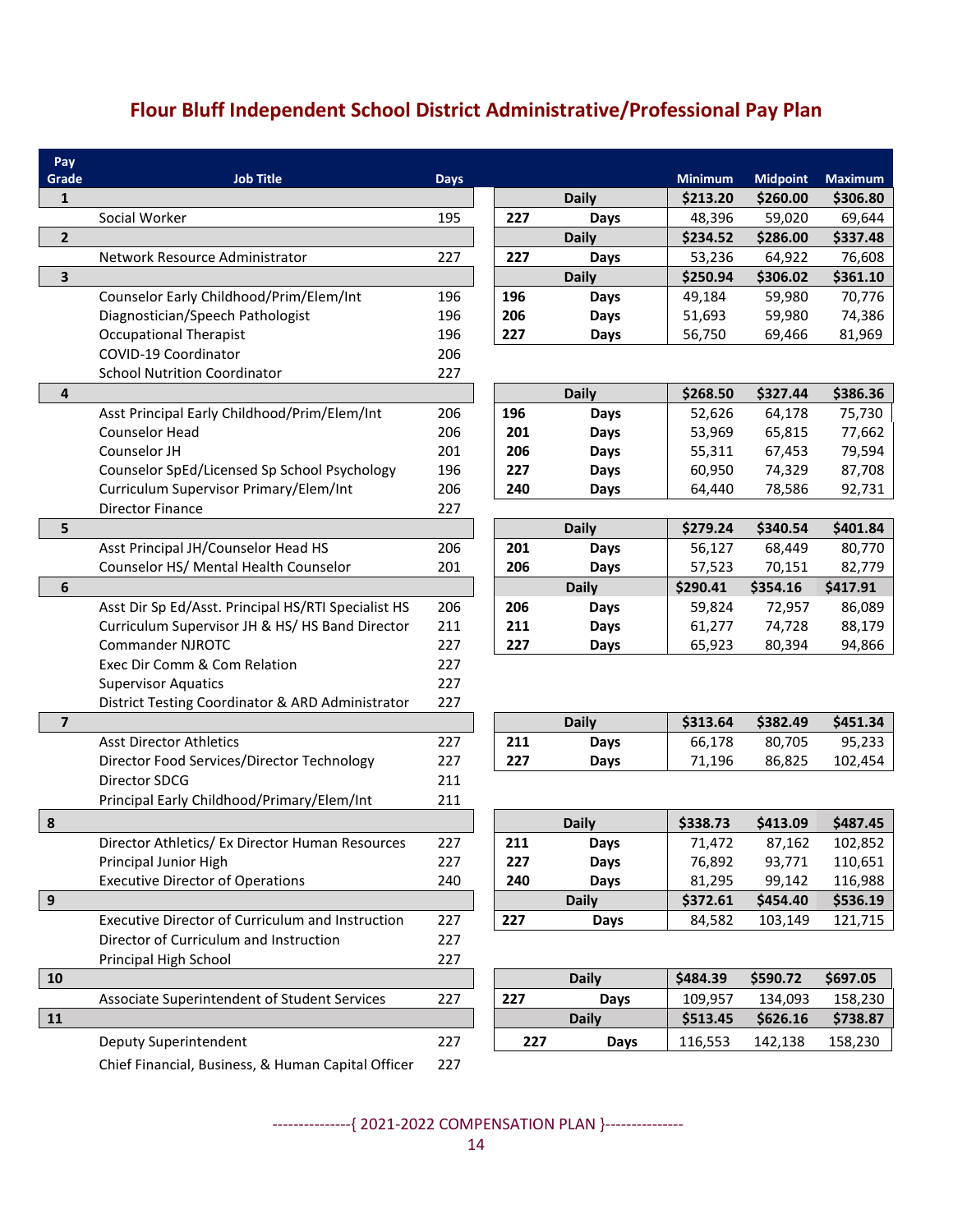# **Flour Bluff Independent School District Administrative/Professional Pay Plan**

| Pay                     |                                                     |             |     |              |                |                 |                |
|-------------------------|-----------------------------------------------------|-------------|-----|--------------|----------------|-----------------|----------------|
| Grade                   | <b>Job Title</b>                                    | <b>Days</b> |     |              | <b>Minimum</b> | <b>Midpoint</b> | <b>Maximum</b> |
| $\mathbf{1}$            |                                                     |             |     | <b>Daily</b> | \$213.20       | \$260.00        | \$306.80       |
|                         | Social Worker                                       | 195         | 227 | Days         | 48,396         | 59,020          | 69,644         |
| $\overline{2}$          |                                                     |             |     | <b>Daily</b> | \$234.52       | \$286.00        | \$337.48       |
|                         | Network Resource Administrator                      | 227         | 227 | Days         | 53,236         | 64,922          | 76,608         |
| 3                       |                                                     |             |     | <b>Daily</b> | \$250.94       | \$306.02        | \$361.10       |
|                         | Counselor Early Childhood/Prim/Elem/Int             | 196         | 196 | Days         | 49,184         | 59,980          | 70,776         |
|                         | Diagnostician/Speech Pathologist                    | 196         | 206 | Days         | 51,693         | 59,980          | 74,386         |
|                         | <b>Occupational Therapist</b>                       | 196         | 227 | Days         | 56,750         | 69,466          | 81,969         |
|                         | COVID-19 Coordinator                                | 206         |     |              |                |                 |                |
|                         | <b>School Nutrition Coordinator</b>                 | 227         |     |              |                |                 |                |
| 4                       |                                                     |             |     | <b>Daily</b> | \$268.50       | \$327.44        | \$386.36       |
|                         | Asst Principal Early Childhood/Prim/Elem/Int        | 206         | 196 | <b>Days</b>  | 52,626         | 64,178          | 75,730         |
|                         | Counselor Head                                      | 206         | 201 | Days         | 53,969         | 65,815          | 77,662         |
|                         | Counselor JH                                        | 201         | 206 | Days         | 55,311         | 67,453          | 79,594         |
|                         | Counselor SpEd/Licensed Sp School Psychology        | 196         | 227 | Days         | 60,950         | 74,329          | 87,708         |
|                         | Curriculum Supervisor Primary/Elem/Int              | 206         | 240 | Days         | 64,440         | 78,586          | 92,731         |
|                         | <b>Director Finance</b>                             | 227         |     |              |                |                 |                |
| 5                       |                                                     |             |     | <b>Daily</b> | \$279.24       | \$340.54        | \$401.84       |
|                         | Asst Principal JH/Counselor Head HS                 | 206         | 201 | Days         | 56,127         | 68,449          | 80,770         |
|                         | Counselor HS/ Mental Health Counselor               | 201         | 206 | Days         | 57,523         | 70,151          | 82,779         |
| 6                       |                                                     |             |     | <b>Daily</b> | \$290.41       | \$354.16        | \$417.91       |
|                         | Asst Dir Sp Ed/Asst. Principal HS/RTI Specialist HS | 206         | 206 | Days         | 59,824         | 72,957          | 86,089         |
|                         | Curriculum Supervisor JH & HS/HS Band Director      | 211         | 211 | Days         | 61,277         | 74,728          | 88,179         |
|                         | <b>Commander NJROTC</b>                             | 227         | 227 | <b>Days</b>  | 65,923         | 80,394          | 94,866         |
|                         | Exec Dir Comm & Com Relation                        | 227         |     |              |                |                 |                |
|                         | <b>Supervisor Aquatics</b>                          | 227         |     |              |                |                 |                |
|                         | District Testing Coordinator & ARD Administrator    | 227         |     |              |                |                 |                |
| $\overline{\mathbf{z}}$ |                                                     |             |     | <b>Daily</b> | \$313.64       | \$382.49        | \$451.34       |
|                         | <b>Asst Director Athletics</b>                      | 227         | 211 | Days         | 66,178         | 80,705          | 95,233         |
|                         | Director Food Services/Director Technology          | 227         | 227 | Days         | 71,196         | 86,825          | 102,454        |
|                         | Director SDCG                                       | 211         |     |              |                |                 |                |
|                         | Principal Early Childhood/Primary/Elem/Int          | 211         |     |              |                |                 |                |
| 8                       |                                                     |             |     | <b>Daily</b> | \$338.73       | \$413.09        | \$487.45       |
|                         | Director Athletics/ Ex Director Human Resources     | 227         | 211 | <b>Days</b>  | 71,472         | 87,162          | 102,852        |
|                         | Principal Junior High                               | 227         | 227 | <b>Days</b>  | 76,892         | 93,771          | 110,651        |
|                         | <b>Executive Director of Operations</b>             | 240         | 240 | <b>Days</b>  | 81,295         | 99,142          | 116,988        |
| $\boldsymbol{9}$        |                                                     |             |     | <b>Daily</b> | \$372.61       | \$454.40        | \$536.19       |
|                         | Executive Director of Curriculum and Instruction    | 227         | 227 | <b>Days</b>  | 84,582         | 103,149         | 121,715        |
|                         | Director of Curriculum and Instruction              | 227         |     |              |                |                 |                |
|                         | Principal High School                               | 227         |     |              |                |                 |                |
| 10                      |                                                     |             |     | <b>Daily</b> | \$484.39       | \$590.72        | \$697.05       |
|                         | Associate Superintendent of Student Services        | 227         | 227 | <b>Days</b>  | 109,957        | 134,093         | 158,230        |
| 11                      |                                                     |             |     | <b>Daily</b> | \$513.45       | \$626.16        | \$738.87       |
|                         | Deputy Superintendent                               | 227         | 227 | <b>Days</b>  | 116,553        | 142,138         | 158,230        |
|                         | Chief Financial, Business, & Human Capital Officer  | 227         |     |              |                |                 |                |
|                         |                                                     |             |     |              |                |                 |                |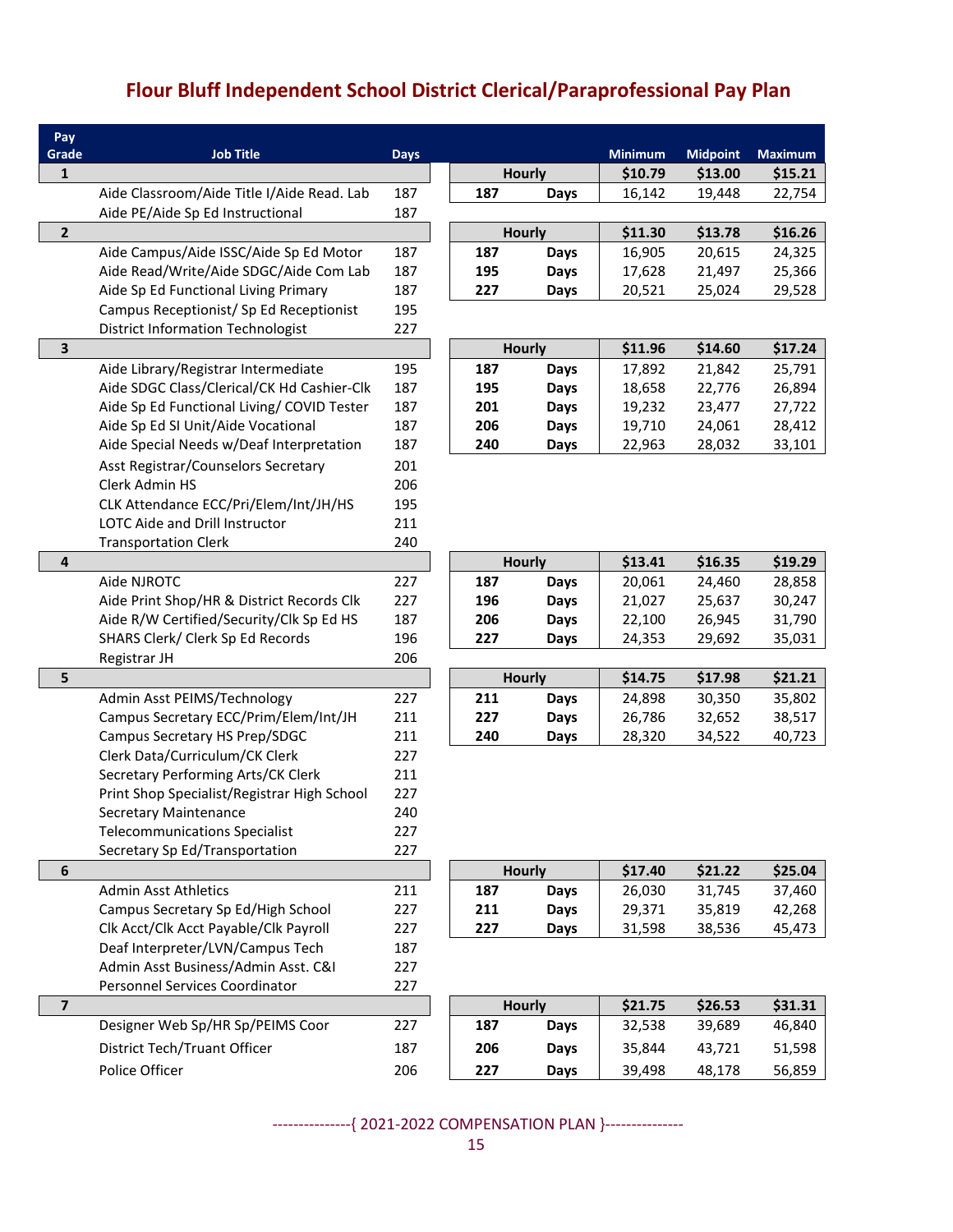# **Flour Bluff Independent School District Clerical/Paraprofessional Pay Plan**

| Pay                     |                                                                                  |             |               |               |                  |                  |                  |
|-------------------------|----------------------------------------------------------------------------------|-------------|---------------|---------------|------------------|------------------|------------------|
| Grade                   | <b>Job Title</b>                                                                 | <b>Days</b> |               |               | Minimum          | <b>Midpoint</b>  | <b>Maximum</b>   |
| $\mathbf{1}$            |                                                                                  |             |               | <b>Hourly</b> | \$10.79          | \$13.00          | \$15.21          |
|                         | Aide Classroom/Aide Title I/Aide Read. Lab                                       | 187         | 187           | Days          | 16,142           | 19,448           | 22,754           |
| $\overline{2}$          | Aide PE/Aide Sp Ed Instructional                                                 | 187         |               |               |                  | \$13.78          |                  |
|                         |                                                                                  |             |               | <b>Hourly</b> | \$11.30          |                  | \$16.26          |
|                         | Aide Campus/Aide ISSC/Aide Sp Ed Motor<br>Aide Read/Write/Aide SDGC/Aide Com Lab | 187<br>187  | 187           | <b>Days</b>   | 16,905           | 20,615           | 24,325           |
|                         | Aide Sp Ed Functional Living Primary                                             | 187         | 195<br>227    | Days          | 17,628<br>20,521 | 21,497<br>25,024 | 25,366<br>29,528 |
|                         | Campus Receptionist/ Sp Ed Receptionist                                          | 195         |               | Days          |                  |                  |                  |
|                         | <b>District Information Technologist</b>                                         | 227         |               |               |                  |                  |                  |
| $\mathsf 3$             |                                                                                  |             |               | <b>Hourly</b> | \$11.96          | \$14.60          | \$17.24          |
|                         | Aide Library/Registrar Intermediate                                              | 195         | 187           | <b>Days</b>   | 17,892           | 21,842           | 25,791           |
|                         | Aide SDGC Class/Clerical/CK Hd Cashier-Clk                                       | 187         | 195           | Days          | 18,658           | 22,776           | 26,894           |
|                         | Aide Sp Ed Functional Living/ COVID Tester                                       | 187         | 201           | <b>Days</b>   | 19,232           | 23,477           | 27,722           |
|                         | Aide Sp Ed SI Unit/Aide Vocational                                               | 187         | 206           | Days          | 19,710           | 24,061           | 28,412           |
|                         | Aide Special Needs w/Deaf Interpretation                                         | 187         | 240           | <b>Days</b>   | 22,963           | 28,032           | 33,101           |
|                         | Asst Registrar/Counselors Secretary                                              | 201         |               |               |                  |                  |                  |
|                         | Clerk Admin HS                                                                   | 206         |               |               |                  |                  |                  |
|                         | CLK Attendance ECC/Pri/Elem/Int/JH/HS                                            | 195         |               |               |                  |                  |                  |
|                         | LOTC Aide and Drill Instructor                                                   | 211         |               |               |                  |                  |                  |
|                         | <b>Transportation Clerk</b>                                                      | 240         |               |               |                  |                  |                  |
| 4                       |                                                                                  |             |               | <b>Hourly</b> | \$13.41          | \$16.35          | \$19.29          |
|                         | Aide NJROTC                                                                      | 227         | 187           | <b>Days</b>   | 20,061           | 24,460           | 28,858           |
|                         | Aide Print Shop/HR & District Records Clk                                        | 227         | 196           | <b>Days</b>   | 21,027           | 25,637           | 30,247           |
|                         | Aide R/W Certified/Security/Clk Sp Ed HS                                         | 187         | 206           | Days          | 22,100           | 26,945           | 31,790           |
|                         | SHARS Clerk/ Clerk Sp Ed Records                                                 | 196         | 227           | Days          | 24,353           | 29,692           | 35,031           |
|                         | Registrar JH                                                                     | 206         |               |               |                  |                  |                  |
| 5                       |                                                                                  |             | <b>Hourly</b> |               | \$14.75          | \$17.98          | \$21.21          |
|                         | Admin Asst PEIMS/Technology                                                      | 227<br>211  | 211           | Days          | 24,898           | 30,350           | 35,802           |
|                         | Campus Secretary ECC/Prim/Elem/Int/JH<br>Campus Secretary HS Prep/SDGC           | 211         | 227<br>240    | Days          | 26,786<br>28,320 | 32,652<br>34,522 | 38,517<br>40,723 |
|                         | Clerk Data/Curriculum/CK Clerk                                                   | 227         |               | Days          |                  |                  |                  |
|                         | Secretary Performing Arts/CK Clerk                                               | 211         |               |               |                  |                  |                  |
|                         | Print Shop Specialist/Registrar High School                                      | 227         |               |               |                  |                  |                  |
|                         | <b>Secretary Maintenance</b>                                                     | 240         |               |               |                  |                  |                  |
|                         | Telecommunications Specialist                                                    | 227         |               |               |                  |                  |                  |
|                         | Secretary Sp Ed/Transportation                                                   | 227         |               |               |                  |                  |                  |
| 6                       |                                                                                  |             |               | <b>Hourly</b> | \$17.40          | \$21.22          | \$25.04          |
|                         | <b>Admin Asst Athletics</b>                                                      | 211         | 187           | <b>Days</b>   | 26,030           | 31,745           | 37,460           |
|                         | Campus Secretary Sp Ed/High School                                               | 227         | 211           | <b>Days</b>   | 29,371           | 35,819           | 42,268           |
|                         | Clk Acct/Clk Acct Payable/Clk Payroll                                            | 227         | 227           | Days          | 31,598           | 38,536           | 45,473           |
|                         | Deaf Interpreter/LVN/Campus Tech                                                 | 187         |               |               |                  |                  |                  |
|                         | Admin Asst Business/Admin Asst. C&I                                              | 227         |               |               |                  |                  |                  |
|                         | Personnel Services Coordinator                                                   | 227         |               |               |                  |                  |                  |
| $\overline{\mathbf{z}}$ |                                                                                  |             |               | <b>Hourly</b> | \$21.75          | \$26.53          | \$31.31          |
|                         | Designer Web Sp/HR Sp/PEIMS Coor                                                 | 227         | 187           | Days          | 32,538           | 39,689           | 46,840           |
|                         | District Tech/Truant Officer                                                     | 187         | 206           | Days          | 35,844           | 43,721           | 51,598           |
|                         | Police Officer                                                                   | 206         | 227           | Days          | 39,498           | 48,178           | 56,859           |
|                         |                                                                                  |             |               |               |                  |                  |                  |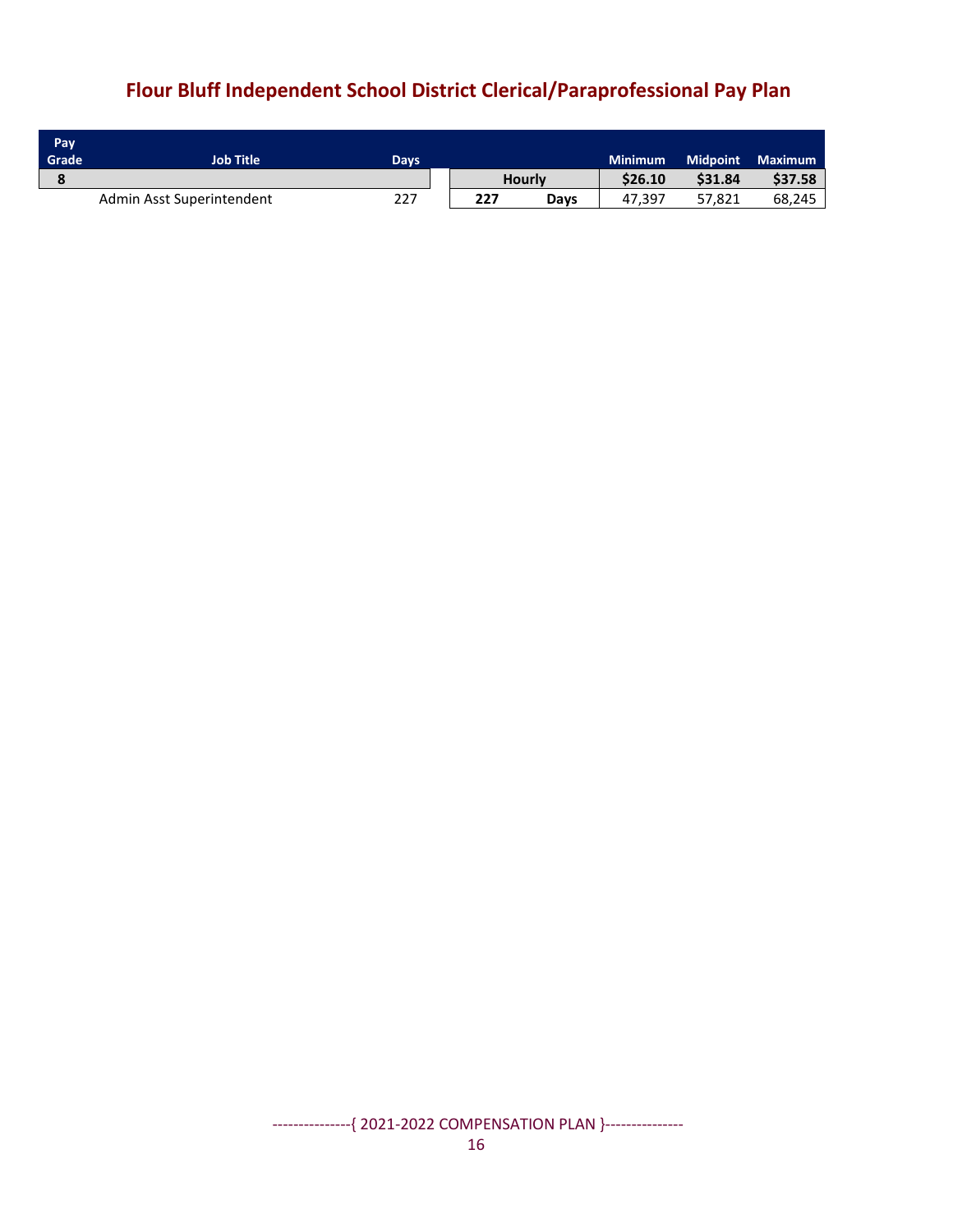# **Flour Bluff Independent School District Clerical/Paraprofessional Pay Plan**

| Pay.<br>Grade | <b>Job Title</b>          | Days |     |               | <b>Minimum</b> | <b>Midpoint</b> | <b>Maximum</b> |
|---------------|---------------------------|------|-----|---------------|----------------|-----------------|----------------|
|               |                           |      |     | <b>Hourly</b> | \$26.10        | \$31.84         | \$37.58        |
|               | Admin Asst Superintendent | 227  | 227 | Days          | 47.397         | 57.821          | 68,245         |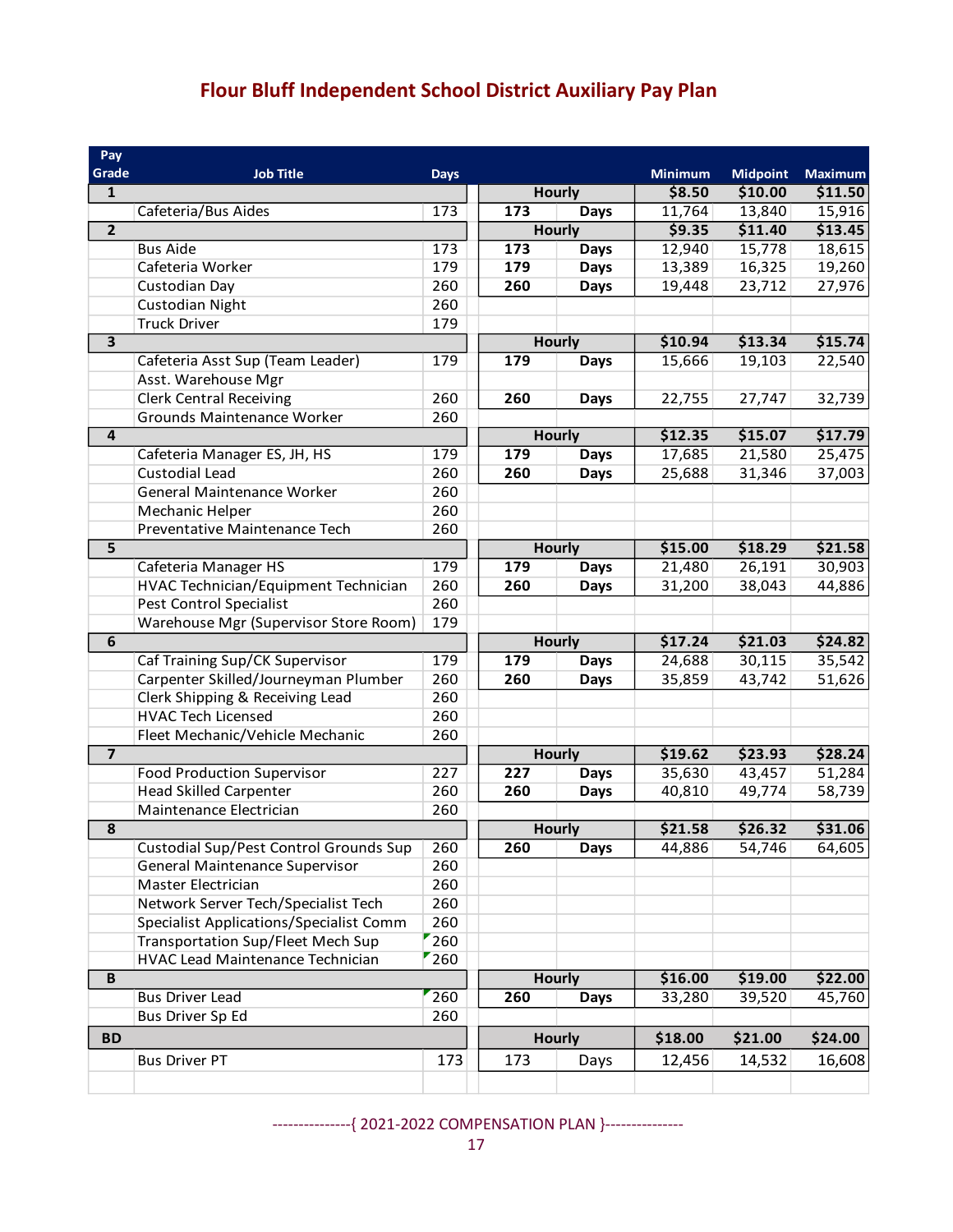# **Flour Bluff Independent School District Auxiliary Pay Plan**

| Pay                     |                                                       |             |               |               |                   |                 |                |
|-------------------------|-------------------------------------------------------|-------------|---------------|---------------|-------------------|-----------------|----------------|
| Grade                   | <b>Job Title</b>                                      | <b>Days</b> |               |               | <b>Minimum</b>    | <b>Midpoint</b> | <b>Maximum</b> |
| $\mathbf{1}$            |                                                       |             |               | <b>Hourly</b> | \$8.50            | \$10.00         | \$11.50        |
|                         | Cafeteria/Bus Aides                                   | 173         | 173           | <b>Days</b>   | 11,764            | 13,840          | 15,916         |
| $\overline{2}$          |                                                       |             |               | <b>Hourly</b> | \$9.35            | \$11.40         | \$13.45        |
|                         | <b>Bus Aide</b>                                       | 173         | 173           | <b>Days</b>   | 12,940            | 15,778          | 18,615         |
|                         | Cafeteria Worker                                      | 179         | 179           | <b>Days</b>   | 13,389            | 16,325          | 19,260         |
|                         | Custodian Day                                         | 260         | 260           | <b>Days</b>   | 19,448            | 23,712          | 27,976         |
|                         | <b>Custodian Night</b>                                | 260         |               |               |                   |                 |                |
|                         | <b>Truck Driver</b>                                   | 179         |               |               |                   |                 |                |
| $\overline{3}$          |                                                       |             |               | <b>Hourly</b> | \$10.94           | \$13.34         | \$15.74        |
|                         | Cafeteria Asst Sup (Team Leader)                      | 179         | 179           | Days          | 15,666            | 19,103          | 22,540         |
|                         | Asst. Warehouse Mgr                                   |             |               |               |                   |                 |                |
|                         | <b>Clerk Central Receiving</b>                        | 260         | 260           | <b>Days</b>   | 22,755            | 27,747          | 32,739         |
|                         | Grounds Maintenance Worker                            | 260         |               |               |                   |                 |                |
| $\overline{\mathbf{4}}$ |                                                       |             |               | <b>Hourly</b> | \$12.35           | \$15.07         | \$17.79        |
|                         | Cafeteria Manager ES, JH, HS<br><b>Custodial Lead</b> | 179<br>260  | 179           | <b>Days</b>   | 17,685            | 21,580          | 25,475         |
|                         | General Maintenance Worker                            | 260         | 260           | <b>Days</b>   | 25,688            | 31,346          | 37,003         |
|                         | Mechanic Helper                                       | 260         |               |               |                   |                 |                |
|                         | Preventative Maintenance Tech                         | 260         |               |               |                   |                 |                |
| $\overline{5}$          |                                                       |             |               | <b>Hourly</b> | \$15.00           | \$18.29         | \$21.58        |
|                         | Cafeteria Manager HS                                  | 179         | 179           | <b>Days</b>   | 21,480            | 26,191          | 30,903         |
|                         | HVAC Technician/Equipment Technician                  | 260         | 260           | <b>Days</b>   | 31,200            | 38,043          | 44,886         |
|                         | Pest Control Specialist                               | 260         |               |               |                   |                 |                |
|                         | Warehouse Mgr (Supervisor Store Room)                 | 179         |               |               |                   |                 |                |
| $\overline{6}$          |                                                       |             |               | <b>Hourly</b> | \$17.24           | \$21.03         | \$24.82        |
|                         | Caf Training Sup/CK Supervisor                        | 179         | 179           | <b>Days</b>   | 24,688            | 30,115          | 35,542         |
|                         | Carpenter Skilled/Journeyman Plumber                  | 260         | 260           | <b>Days</b>   | 35,859            | 43,742          | 51,626         |
|                         | Clerk Shipping & Receiving Lead                       | 260         |               |               |                   |                 |                |
|                         | <b>HVAC Tech Licensed</b>                             | 260         |               |               |                   |                 |                |
|                         | Fleet Mechanic/Vehicle Mechanic                       | 260         |               |               |                   |                 |                |
| $\overline{\mathbf{z}}$ |                                                       |             | <b>Hourly</b> |               | \$19.62           | \$23.93         | \$28.24        |
|                         | <b>Food Production Supervisor</b>                     | 227         | 227           | <b>Days</b>   | 35,630            | 43,457          | 51,284         |
|                         | <b>Head Skilled Carpenter</b>                         | 260         | 260           | <b>Days</b>   | 40,810            | 49,774          | 58,739         |
|                         | Maintenance Electrician                               | 260         |               |               |                   |                 |                |
| ${\bf 8}$               |                                                       |             |               | <b>Hourly</b> | \$21.58           | \$26.32         | \$31.06        |
|                         | Custodial Sup/Pest Control Grounds Sup                | 260         | 260           | Days          | 44,886            | 54,746          | 64,605         |
|                         | General Maintenance Supervisor                        | 260         |               |               |                   |                 |                |
|                         | Master Electrician                                    | 260         |               |               |                   |                 |                |
|                         | Network Server Tech/Specialist Tech                   | 260         |               |               |                   |                 |                |
|                         | <b>Specialist Applications/Specialist Comm</b>        | 260         |               |               |                   |                 |                |
|                         | Transportation Sup/Fleet Mech Sup                     | 260         |               |               |                   |                 |                |
|                         | HVAC Lead Maintenance Technician                      | 260         |               |               |                   |                 |                |
| B                       |                                                       |             |               | <b>Hourly</b> | \$16.00           | \$19.00         | \$22.00        |
|                         | <b>Bus Driver Lead</b>                                | 260         | 260           | <b>Days</b>   | 33,280            | 39,520          | 45,760         |
|                         | Bus Driver Sp Ed                                      | 260         |               |               |                   |                 |                |
| <b>BD</b>               |                                                       |             |               | <b>Hourly</b> |                   | \$21.00         | \$24.00        |
|                         | <b>Bus Driver PT</b>                                  | 173         | 173           | Days          | \$18.00<br>12,456 | 14,532          | 16,608         |
|                         |                                                       |             |               |               |                   |                 |                |
|                         |                                                       |             |               |               |                   |                 |                |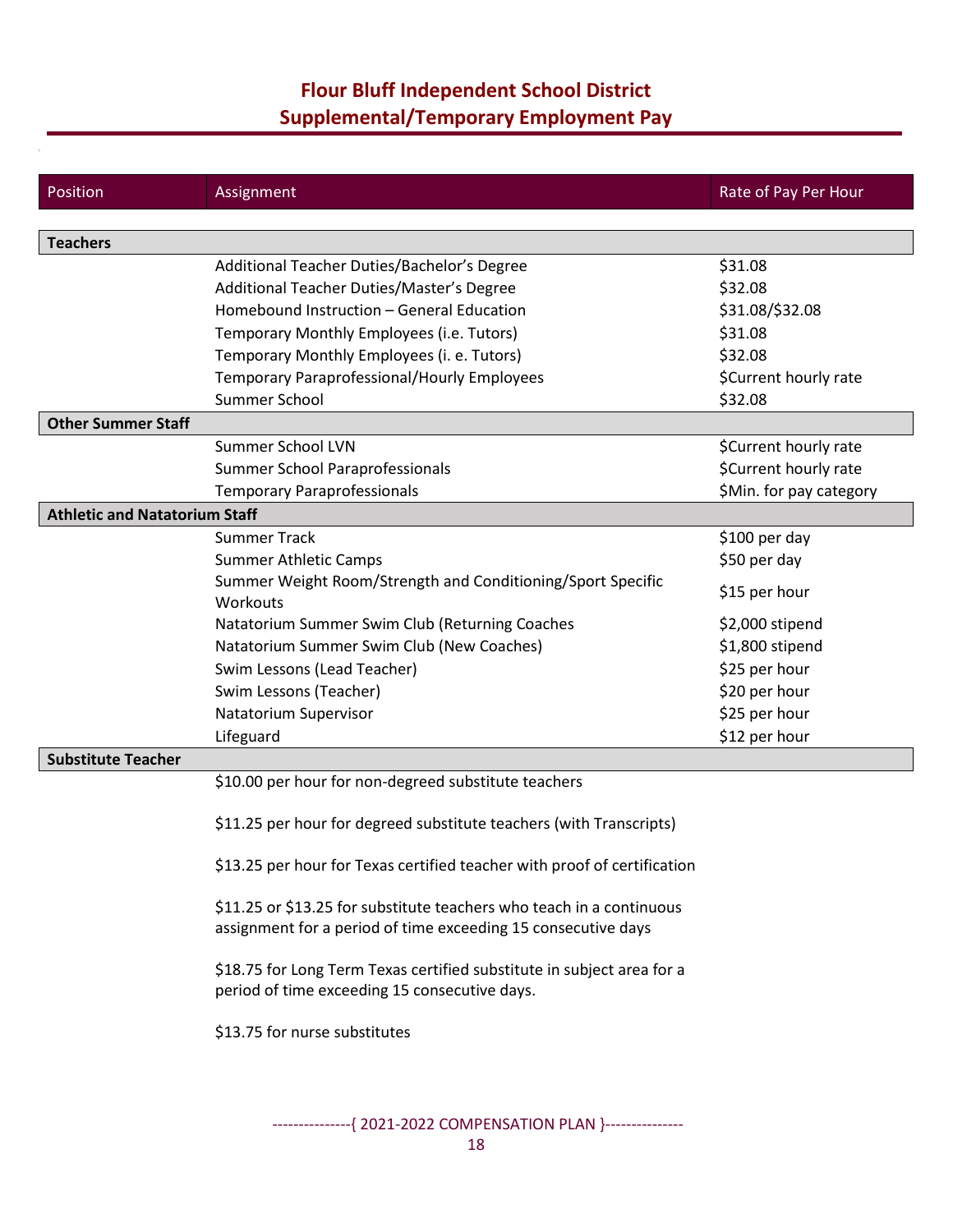## **Flour Bluff Independent School District Supplemental/Temporary Employment Pay**

| Position                             | Assignment                                                                                                                            | Rate of Pay Per Hour    |
|--------------------------------------|---------------------------------------------------------------------------------------------------------------------------------------|-------------------------|
|                                      |                                                                                                                                       |                         |
| <b>Teachers</b>                      |                                                                                                                                       |                         |
|                                      | Additional Teacher Duties/Bachelor's Degree                                                                                           | \$31.08                 |
|                                      | Additional Teacher Duties/Master's Degree                                                                                             | \$32.08                 |
|                                      | Homebound Instruction - General Education                                                                                             | \$31.08/\$32.08         |
|                                      | Temporary Monthly Employees (i.e. Tutors)                                                                                             | \$31.08                 |
|                                      | Temporary Monthly Employees (i. e. Tutors)                                                                                            | \$32.08                 |
|                                      | <b>Temporary Paraprofessional/Hourly Employees</b>                                                                                    | \$Current hourly rate   |
|                                      | Summer School                                                                                                                         | \$32.08                 |
| <b>Other Summer Staff</b>            |                                                                                                                                       |                         |
|                                      | Summer School LVN                                                                                                                     | \$Current hourly rate   |
|                                      | Summer School Paraprofessionals                                                                                                       | \$Current hourly rate   |
|                                      | <b>Temporary Paraprofessionals</b>                                                                                                    | \$Min. for pay category |
| <b>Athletic and Natatorium Staff</b> |                                                                                                                                       |                         |
|                                      | <b>Summer Track</b>                                                                                                                   | \$100 per day           |
|                                      | <b>Summer Athletic Camps</b>                                                                                                          | \$50 per day            |
|                                      | Summer Weight Room/Strength and Conditioning/Sport Specific<br>Workouts                                                               | \$15 per hour           |
|                                      | Natatorium Summer Swim Club (Returning Coaches                                                                                        | \$2,000 stipend         |
|                                      | Natatorium Summer Swim Club (New Coaches)                                                                                             | \$1,800 stipend         |
|                                      | Swim Lessons (Lead Teacher)                                                                                                           | \$25 per hour           |
|                                      | Swim Lessons (Teacher)                                                                                                                | \$20 per hour           |
|                                      | Natatorium Supervisor                                                                                                                 | \$25 per hour           |
|                                      | Lifeguard                                                                                                                             | \$12 per hour           |
| <b>Substitute Teacher</b>            |                                                                                                                                       |                         |
|                                      | \$10.00 per hour for non-degreed substitute teachers                                                                                  |                         |
|                                      | \$11.25 per hour for degreed substitute teachers (with Transcripts)                                                                   |                         |
|                                      | \$13.25 per hour for Texas certified teacher with proof of certification                                                              |                         |
|                                      | \$11.25 or \$13.25 for substitute teachers who teach in a continuous<br>assignment for a period of time exceeding 15 consecutive days |                         |
|                                      | \$18.75 for Long Term Texas certified substitute in subject area for a<br>period of time exceeding 15 consecutive days.               |                         |
|                                      | \$13.75 for nurse substitutes                                                                                                         |                         |
|                                      |                                                                                                                                       |                         |